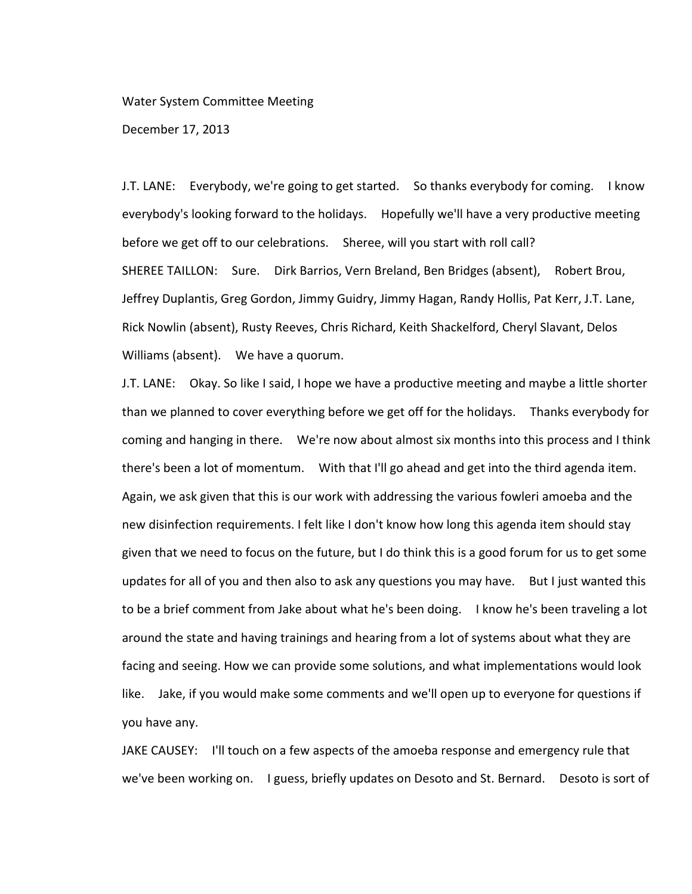## Water System Committee Meeting

December 17, 2013

J.T. LANE: Everybody, we're going to get started. So thanks everybody for coming. I know everybody's looking forward to the holidays. Hopefully we'll have a very productive meeting before we get off to our celebrations. Sheree, will you start with roll call? SHEREE TAILLON: Sure. Dirk Barrios, Vern Breland, Ben Bridges (absent), Robert Brou, Jeffrey Duplantis, Greg Gordon, Jimmy Guidry, Jimmy Hagan, Randy Hollis, Pat Kerr, J.T. Lane, Rick Nowlin (absent), Rusty Reeves, Chris Richard, Keith Shackelford, Cheryl Slavant, Delos Williams (absent). We have a quorum.

J.T. LANE: Okay. So like I said, I hope we have a productive meeting and maybe a little shorter than we planned to cover everything before we get off for the holidays. Thanks everybody for coming and hanging in there. We're now about almost six months into this process and I think there's been a lot of momentum. With that I'll go ahead and get into the third agenda item. Again, we ask given that this is our work with addressing the various fowleri amoeba and the new disinfection requirements. I felt like I don't know how long this agenda item should stay given that we need to focus on the future, but I do think this is a good forum for us to get some updates for all of you and then also to ask any questions you may have. But I just wanted this to be a brief comment from Jake about what he's been doing. I know he's been traveling a lot around the state and having trainings and hearing from a lot of systems about what they are facing and seeing. How we can provide some solutions, and what implementations would look like. Jake, if you would make some comments and we'll open up to everyone for questions if you have any.

JAKE CAUSEY: I'll touch on a few aspects of the amoeba response and emergency rule that we've been working on. I guess, briefly updates on Desoto and St. Bernard. Desoto is sort of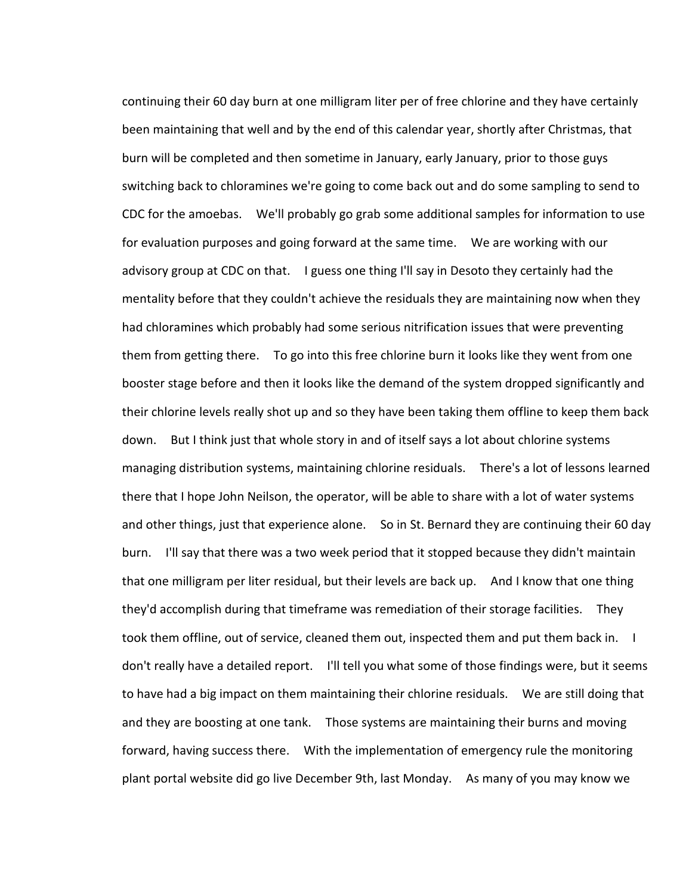continuing their 60 day burn at one milligram liter per of free chlorine and they have certainly been maintaining that well and by the end of this calendar year, shortly after Christmas, that burn will be completed and then sometime in January, early January, prior to those guys switching back to chloramines we're going to come back out and do some sampling to send to CDC for the amoebas. We'll probably go grab some additional samples for information to use for evaluation purposes and going forward at the same time. We are working with our advisory group at CDC on that. I guess one thing I'll say in Desoto they certainly had the mentality before that they couldn't achieve the residuals they are maintaining now when they had chloramines which probably had some serious nitrification issues that were preventing them from getting there. To go into this free chlorine burn it looks like they went from one booster stage before and then it looks like the demand of the system dropped significantly and their chlorine levels really shot up and so they have been taking them offline to keep them back down. But I think just that whole story in and of itself says a lot about chlorine systems managing distribution systems, maintaining chlorine residuals. There's a lot of lessons learned there that I hope John Neilson, the operator, will be able to share with a lot of water systems and other things, just that experience alone. So in St. Bernard they are continuing their 60 day burn. I'll say that there was a two week period that it stopped because they didn't maintain that one milligram per liter residual, but their levels are back up. And I know that one thing they'd accomplish during that timeframe was remediation of their storage facilities. They took them offline, out of service, cleaned them out, inspected them and put them back in. I don't really have a detailed report. I'll tell you what some of those findings were, but it seems to have had a big impact on them maintaining their chlorine residuals. We are still doing that and they are boosting at one tank. Those systems are maintaining their burns and moving forward, having success there. With the implementation of emergency rule the monitoring plant portal website did go live December 9th, last Monday. As many of you may know we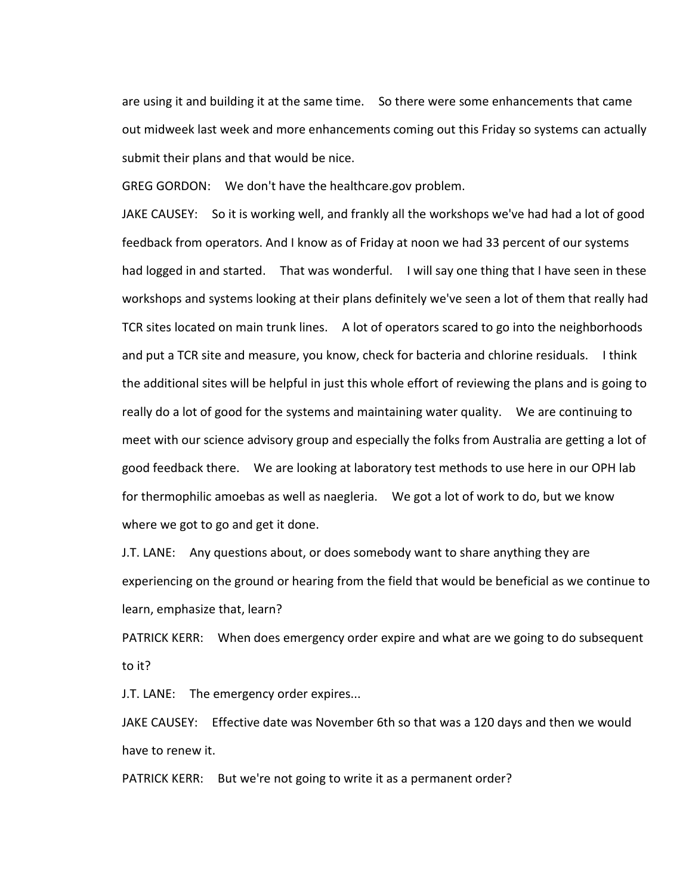are using it and building it at the same time. So there were some enhancements that came out midweek last week and more enhancements coming out this Friday so systems can actually submit their plans and that would be nice.

GREG GORDON: We don't have the healthcare.gov problem.

JAKE CAUSEY: So it is working well, and frankly all the workshops we've had had a lot of good feedback from operators. And I know as of Friday at noon we had 33 percent of our systems had logged in and started. That was wonderful. I will say one thing that I have seen in these workshops and systems looking at their plans definitely we've seen a lot of them that really had TCR sites located on main trunk lines. A lot of operators scared to go into the neighborhoods and put a TCR site and measure, you know, check for bacteria and chlorine residuals. I think the additional sites will be helpful in just this whole effort of reviewing the plans and is going to really do a lot of good for the systems and maintaining water quality. We are continuing to meet with our science advisory group and especially the folks from Australia are getting a lot of good feedback there. We are looking at laboratory test methods to use here in our OPH lab for thermophilic amoebas as well as naegleria. We got a lot of work to do, but we know where we got to go and get it done.

J.T. LANE: Any questions about, or does somebody want to share anything they are experiencing on the ground or hearing from the field that would be beneficial as we continue to learn, emphasize that, learn?

PATRICK KERR: When does emergency order expire and what are we going to do subsequent to it?

J.T. LANE: The emergency order expires...

JAKE CAUSEY: Effective date was November 6th so that was a 120 days and then we would have to renew it.

PATRICK KERR: But we're not going to write it as a permanent order?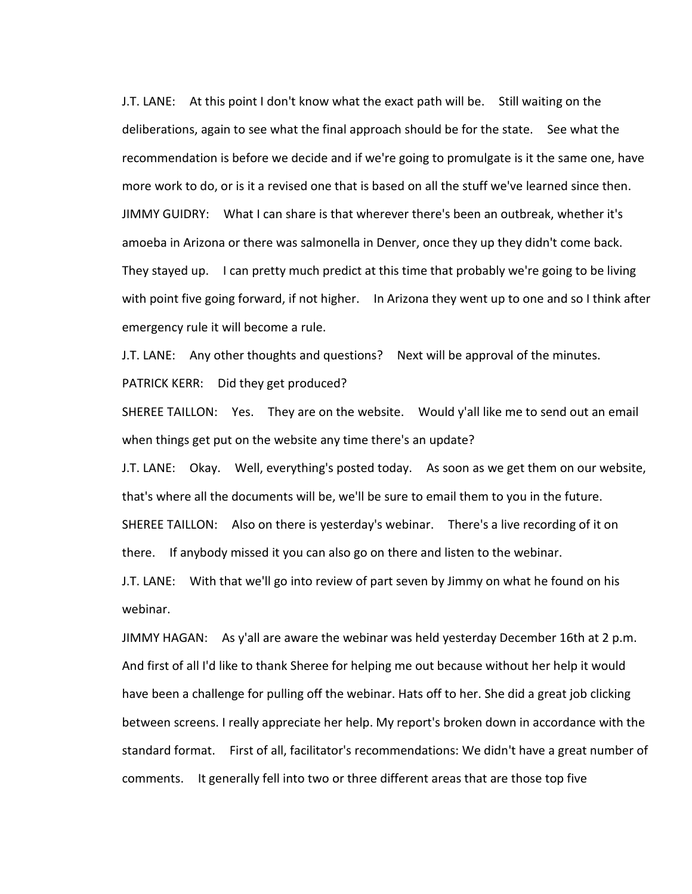J.T. LANE: At this point I don't know what the exact path will be. Still waiting on the deliberations, again to see what the final approach should be for the state. See what the recommendation is before we decide and if we're going to promulgate is it the same one, have more work to do, or is it a revised one that is based on all the stuff we've learned since then. JIMMY GUIDRY: What I can share is that wherever there's been an outbreak, whether it's amoeba in Arizona or there was salmonella in Denver, once they up they didn't come back. They stayed up. I can pretty much predict at this time that probably we're going to be living with point five going forward, if not higher. In Arizona they went up to one and so I think after emergency rule it will become a rule.

J.T. LANE: Any other thoughts and questions? Next will be approval of the minutes. PATRICK KERR: Did they get produced?

SHEREE TAILLON: Yes. They are on the website. Would y'all like me to send out an email when things get put on the website any time there's an update?

J.T. LANE: Okay. Well, everything's posted today. As soon as we get them on our website, that's where all the documents will be, we'll be sure to email them to you in the future. SHEREE TAILLON: Also on there is yesterday's webinar. There's a live recording of it on there. If anybody missed it you can also go on there and listen to the webinar.

J.T. LANE: With that we'll go into review of part seven by Jimmy on what he found on his webinar.

JIMMY HAGAN: As y'all are aware the webinar was held yesterday December 16th at 2 p.m. And first of all I'd like to thank Sheree for helping me out because without her help it would have been a challenge for pulling off the webinar. Hats off to her. She did a great job clicking between screens. I really appreciate her help. My report's broken down in accordance with the standard format. First of all, facilitator's recommendations: We didn't have a great number of comments. It generally fell into two or three different areas that are those top five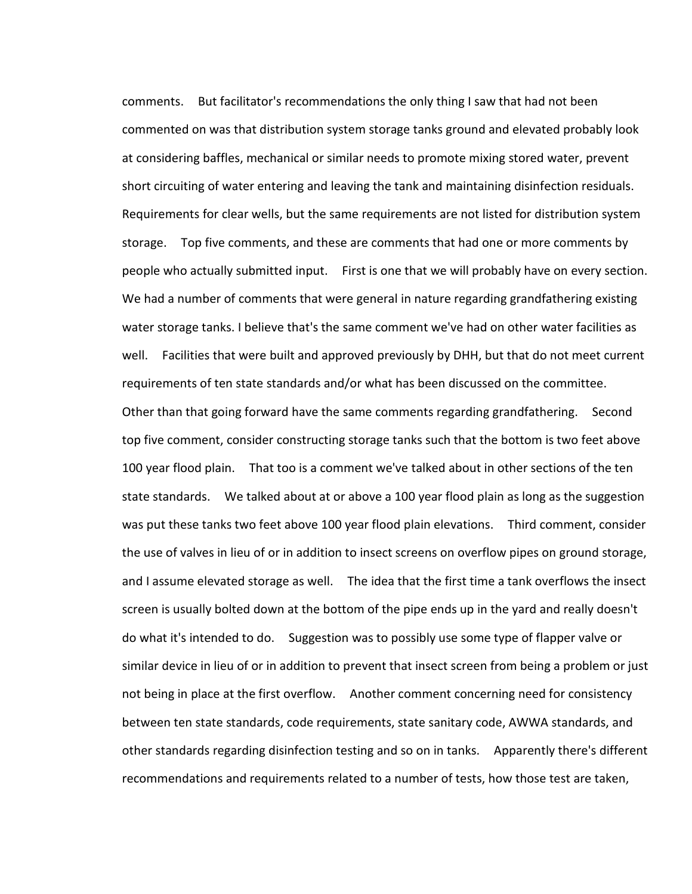comments. But facilitator's recommendations the only thing I saw that had not been commented on was that distribution system storage tanks ground and elevated probably look at considering baffles, mechanical or similar needs to promote mixing stored water, prevent short circuiting of water entering and leaving the tank and maintaining disinfection residuals. Requirements for clear wells, but the same requirements are not listed for distribution system storage. Top five comments, and these are comments that had one or more comments by people who actually submitted input. First is one that we will probably have on every section. We had a number of comments that were general in nature regarding grandfathering existing water storage tanks. I believe that's the same comment we've had on other water facilities as well. Facilities that were built and approved previously by DHH, but that do not meet current requirements of ten state standards and/or what has been discussed on the committee. Other than that going forward have the same comments regarding grandfathering. Second top five comment, consider constructing storage tanks such that the bottom is two feet above 100 year flood plain. That too is a comment we've talked about in other sections of the ten state standards. We talked about at or above a 100 year flood plain as long as the suggestion was put these tanks two feet above 100 year flood plain elevations. Third comment, consider the use of valves in lieu of or in addition to insect screens on overflow pipes on ground storage, and I assume elevated storage as well. The idea that the first time a tank overflows the insect screen is usually bolted down at the bottom of the pipe ends up in the yard and really doesn't do what it's intended to do. Suggestion was to possibly use some type of flapper valve or similar device in lieu of or in addition to prevent that insect screen from being a problem or just not being in place at the first overflow. Another comment concerning need for consistency between ten state standards, code requirements, state sanitary code, AWWA standards, and other standards regarding disinfection testing and so on in tanks. Apparently there's different recommendations and requirements related to a number of tests, how those test are taken,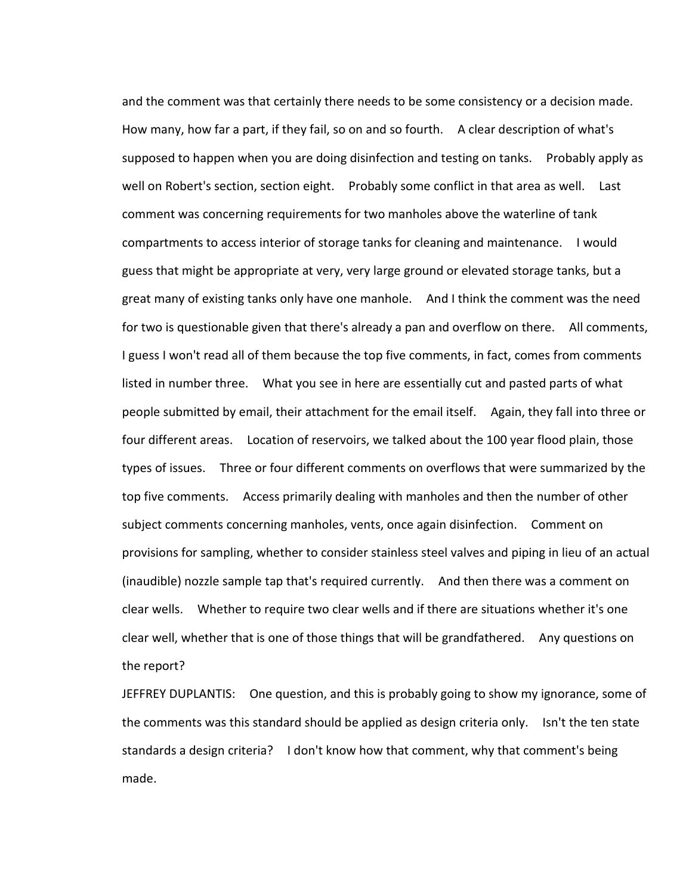and the comment was that certainly there needs to be some consistency or a decision made. How many, how far a part, if they fail, so on and so fourth. A clear description of what's supposed to happen when you are doing disinfection and testing on tanks. Probably apply as well on Robert's section, section eight. Probably some conflict in that area as well. Last comment was concerning requirements for two manholes above the waterline of tank compartments to access interior of storage tanks for cleaning and maintenance. I would guess that might be appropriate at very, very large ground or elevated storage tanks, but a great many of existing tanks only have one manhole. And I think the comment was the need for two is questionable given that there's already a pan and overflow on there. All comments, I guess I won't read all of them because the top five comments, in fact, comes from comments listed in number three. What you see in here are essentially cut and pasted parts of what people submitted by email, their attachment for the email itself. Again, they fall into three or four different areas. Location of reservoirs, we talked about the 100 year flood plain, those types of issues. Three or four different comments on overflows that were summarized by the top five comments. Access primarily dealing with manholes and then the number of other subject comments concerning manholes, vents, once again disinfection. Comment on provisions for sampling, whether to consider stainless steel valves and piping in lieu of an actual (inaudible) nozzle sample tap that's required currently. And then there was a comment on clear wells. Whether to require two clear wells and if there are situations whether it's one clear well, whether that is one of those things that will be grandfathered. Any questions on the report?

JEFFREY DUPLANTIS: One question, and this is probably going to show my ignorance, some of the comments was this standard should be applied as design criteria only. Isn't the ten state standards a design criteria? I don't know how that comment, why that comment's being made.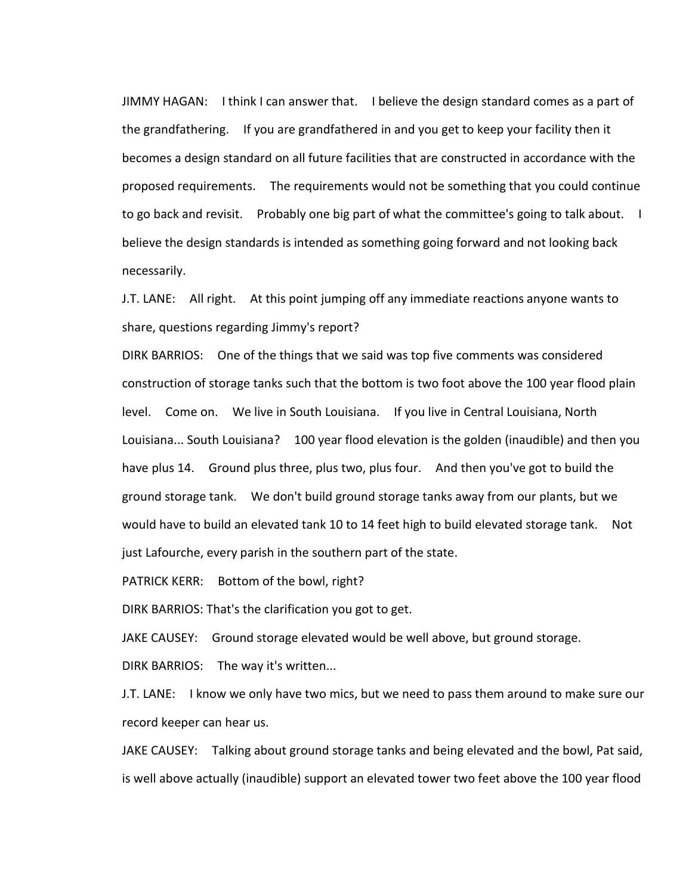JIMMY HAGAN: I think I can answer that. I believe the design standard comes as a part of the grandfathering. If you are grandfathered in and you get to keep your facility then it becomes a design standard on all future facilities that are constructed in accordance with the proposed requirements. The requirements would not be something that you could continue to go back and revisit. Probably one big part of what the committee's going to talk about. I believe the design standards is intended as something going forward and not looking back necessarily.

J.T. LANE: All right. At this point jumping off any immediate reactions anyone wants to share, questions regarding Jimmy's report?

DIRK BARRIOS: One of the things that we said was top five comments was considered construction of storage tanks such that the bottom is two foot above the 100 year flood plain level. Come on. We live in South Louisiana. If you live in Central Louisiana, North Louisiana... South Louisiana? 100 year flood elevation is the golden (inaudible) and then you have plus 14. Ground plus three, plus two, plus four. And then you've got to build the ground storage tank. We don't build ground storage tanks away from our plants, but we would have to build an elevated tank 10 to 14 feet high to build elevated storage tank. Not just Lafourche, every parish in the southern part of the state.

PATRICK KERR: Bottom of the bowl, right?

DIRK BARRIOS: That's the clarification you got to get.

JAKE CAUSEY: Ground storage elevated would be well above, but ground storage.

DIRK BARRIOS: The way it's written...

J.T. LANE: I know we only have two mics, but we need to pass them around to make sure our record keeper can hear us.

JAKE CAUSEY: Talking about ground storage tanks and being elevated and the bowl, Pat said, is well above actually (inaudible) support an elevated tower two feet above the 100 year flood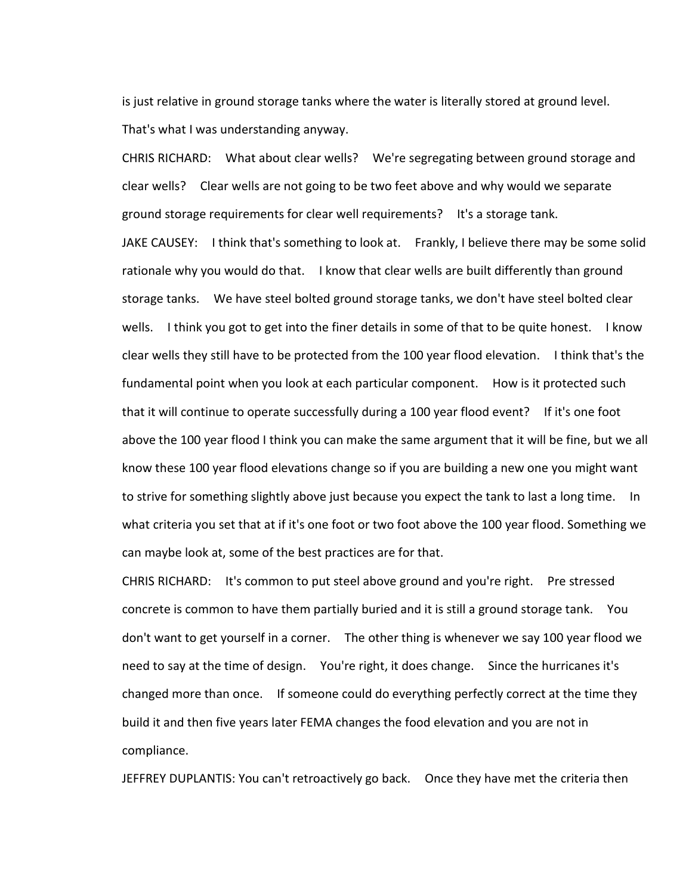is just relative in ground storage tanks where the water is literally stored at ground level. That's what I was understanding anyway.

CHRIS RICHARD: What about clear wells? We're segregating between ground storage and clear wells? Clear wells are not going to be two feet above and why would we separate ground storage requirements for clear well requirements? It's a storage tank. JAKE CAUSEY: I think that's something to look at. Frankly, I believe there may be some solid rationale why you would do that. I know that clear wells are built differently than ground storage tanks. We have steel bolted ground storage tanks, we don't have steel bolted clear wells. I think you got to get into the finer details in some of that to be quite honest. I know clear wells they still have to be protected from the 100 year flood elevation. I think that's the fundamental point when you look at each particular component. How is it protected such that it will continue to operate successfully during a 100 year flood event? If it's one foot above the 100 year flood I think you can make the same argument that it will be fine, but we all know these 100 year flood elevations change so if you are building a new one you might want to strive for something slightly above just because you expect the tank to last a long time. In what criteria you set that at if it's one foot or two foot above the 100 year flood. Something we can maybe look at, some of the best practices are for that.

CHRIS RICHARD: It's common to put steel above ground and you're right. Pre stressed concrete is common to have them partially buried and it is still a ground storage tank. You don't want to get yourself in a corner. The other thing is whenever we say 100 year flood we need to say at the time of design. You're right, it does change. Since the hurricanes it's changed more than once. If someone could do everything perfectly correct at the time they build it and then five years later FEMA changes the food elevation and you are not in compliance.

JEFFREY DUPLANTIS: You can't retroactively go back. Once they have met the criteria then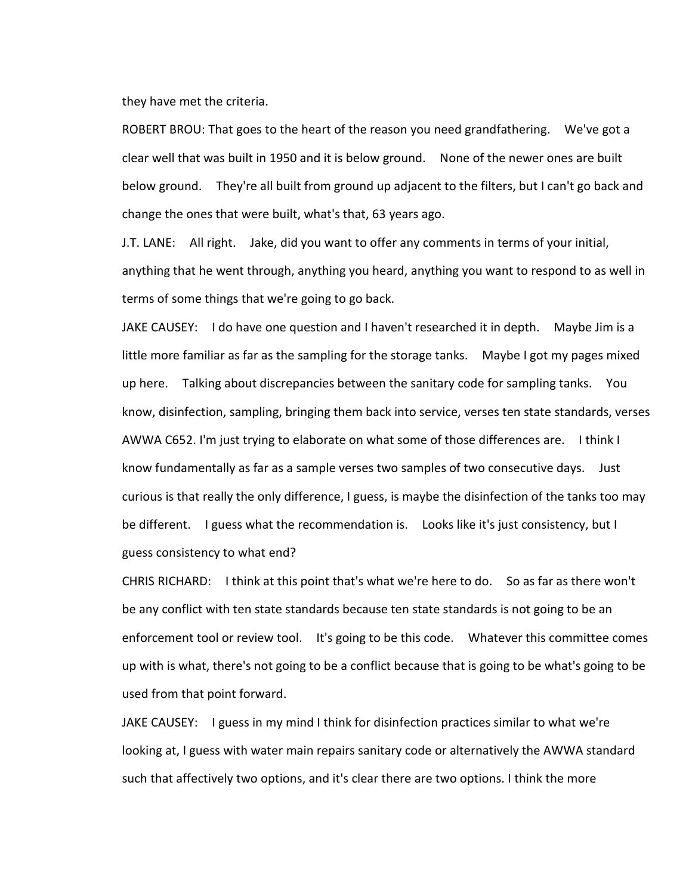they have met the criteria.

ROBERT BROU: That goes to the heart of the reason you need grandfathering. We've got a clear well that was built in 1950 and it is below ground. None of the newer ones are built below ground. They're all built from ground up adjacent to the filters, but I can't go back and change the ones that were built, what's that, 63 years ago.

J.T. LANE: All right. Jake, did you want to offer any comments in terms of your initial, anything that he went through, anything you heard, anything you want to respond to as well in terms of some things that we're going to go back.

JAKE CAUSEY: I do have one question and I haven't researched it in depth. Maybe Jim is a little more familiar as far as the sampling for the storage tanks. Maybe I got my pages mixed up here. Talking about discrepancies between the sanitary code for sampling tanks. You know, disinfection, sampling, bringing them back into service, verses ten state standards, verses AWWA C652. I'm just trying to elaborate on what some of those differences are. I think I know fundamentally as far as a sample verses two samples of two consecutive days. Just curious is that really the only difference, I guess, is maybe the disinfection of the tanks too may be different. I guess what the recommendation is. Looks like it's just consistency, but I guess consistency to what end?

CHRIS RICHARD: I think at this point that's what we're here to do. So as far as there won't be any conflict with ten state standards because ten state standards is not going to be an enforcement tool or review tool. It's going to be this code. Whatever this committee comes up with is what, there's not going to be a conflict because that is going to be what's going to be used from that point forward.

JAKE CAUSEY: I guess in my mind I think for disinfection practices similar to what we're looking at, I guess with water main repairs sanitary code or alternatively the AWWA standard such that affectively two options, and it's clear there are two options. I think the more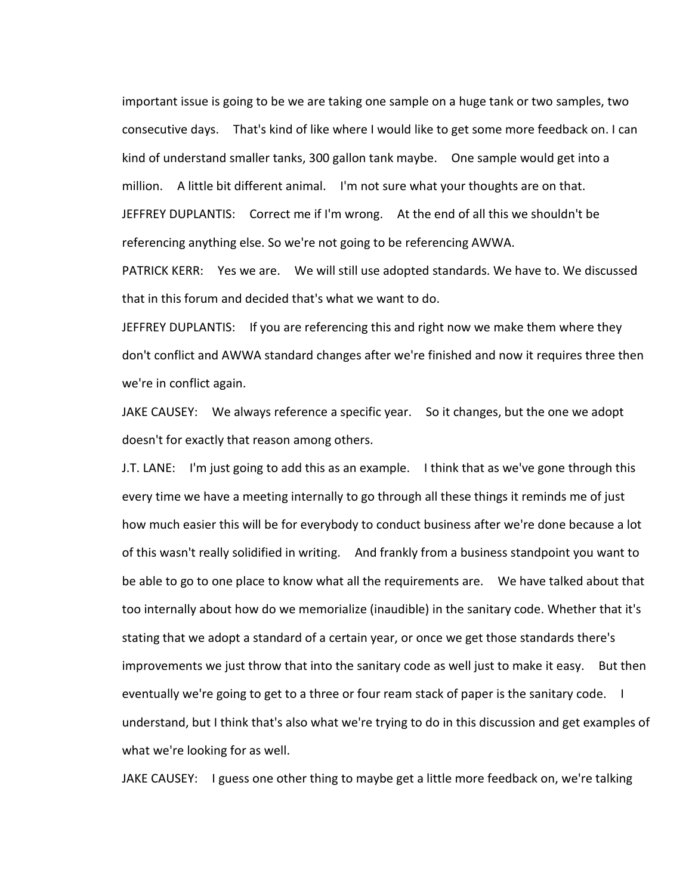important issue is going to be we are taking one sample on a huge tank or two samples, two consecutive days. That's kind of like where I would like to get some more feedback on. I can kind of understand smaller tanks, 300 gallon tank maybe. One sample would get into a million. A little bit different animal. I'm not sure what your thoughts are on that. JEFFREY DUPLANTIS: Correct me if I'm wrong. At the end of all this we shouldn't be referencing anything else. So we're not going to be referencing AWWA.

PATRICK KERR: Yes we are. We will still use adopted standards. We have to. We discussed that in this forum and decided that's what we want to do.

JEFFREY DUPLANTIS: If you are referencing this and right now we make them where they don't conflict and AWWA standard changes after we're finished and now it requires three then we're in conflict again.

JAKE CAUSEY: We always reference a specific year. So it changes, but the one we adopt doesn't for exactly that reason among others.

J.T. LANE: I'm just going to add this as an example. I think that as we've gone through this every time we have a meeting internally to go through all these things it reminds me of just how much easier this will be for everybody to conduct business after we're done because a lot of this wasn't really solidified in writing. And frankly from a business standpoint you want to be able to go to one place to know what all the requirements are. We have talked about that too internally about how do we memorialize (inaudible) in the sanitary code. Whether that it's stating that we adopt a standard of a certain year, or once we get those standards there's improvements we just throw that into the sanitary code as well just to make it easy. But then eventually we're going to get to a three or four ream stack of paper is the sanitary code. I understand, but I think that's also what we're trying to do in this discussion and get examples of what we're looking for as well.

JAKE CAUSEY: I guess one other thing to maybe get a little more feedback on, we're talking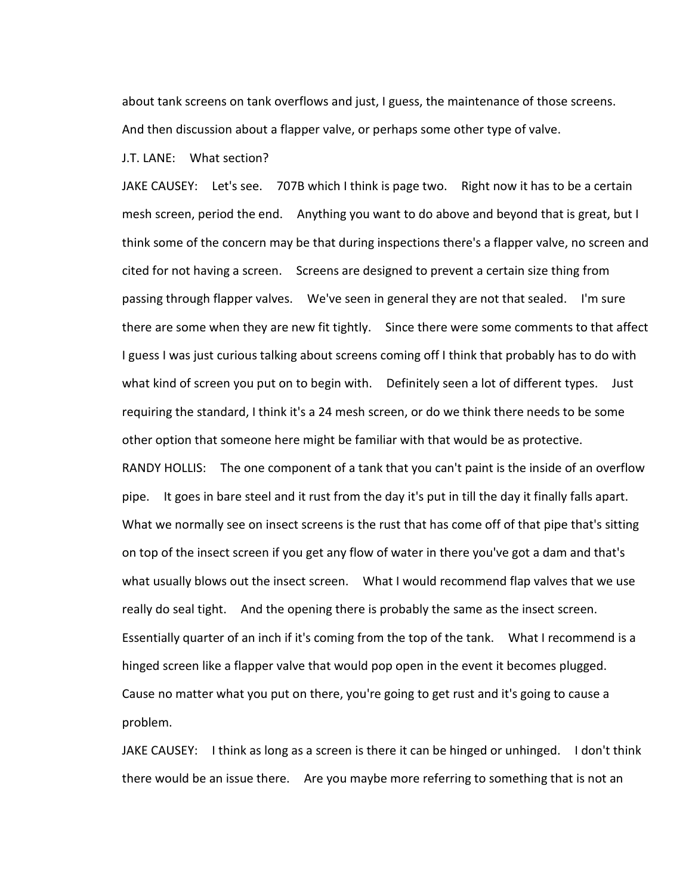about tank screens on tank overflows and just, I guess, the maintenance of those screens. And then discussion about a flapper valve, or perhaps some other type of valve.

## J.T. LANE: What section?

JAKE CAUSEY: Let's see. 707B which I think is page two. Right now it has to be a certain mesh screen, period the end. Anything you want to do above and beyond that is great, but I think some of the concern may be that during inspections there's a flapper valve, no screen and cited for not having a screen. Screens are designed to prevent a certain size thing from passing through flapper valves. We've seen in general they are not that sealed. I'm sure there are some when they are new fit tightly. Since there were some comments to that affect I guess I was just curious talking about screens coming off I think that probably has to do with what kind of screen you put on to begin with. Definitely seen a lot of different types. Just requiring the standard, I think it's a 24 mesh screen, or do we think there needs to be some other option that someone here might be familiar with that would be as protective. RANDY HOLLIS: The one component of a tank that you can't paint is the inside of an overflow pipe. It goes in bare steel and it rust from the day it's put in till the day it finally falls apart. What we normally see on insect screens is the rust that has come off of that pipe that's sitting on top of the insect screen if you get any flow of water in there you've got a dam and that's what usually blows out the insect screen. What I would recommend flap valves that we use really do seal tight. And the opening there is probably the same as the insect screen. Essentially quarter of an inch if it's coming from the top of the tank. What I recommend is a hinged screen like a flapper valve that would pop open in the event it becomes plugged. Cause no matter what you put on there, you're going to get rust and it's going to cause a problem.

JAKE CAUSEY: I think as long as a screen is there it can be hinged or unhinged. I don't think there would be an issue there. Are you maybe more referring to something that is not an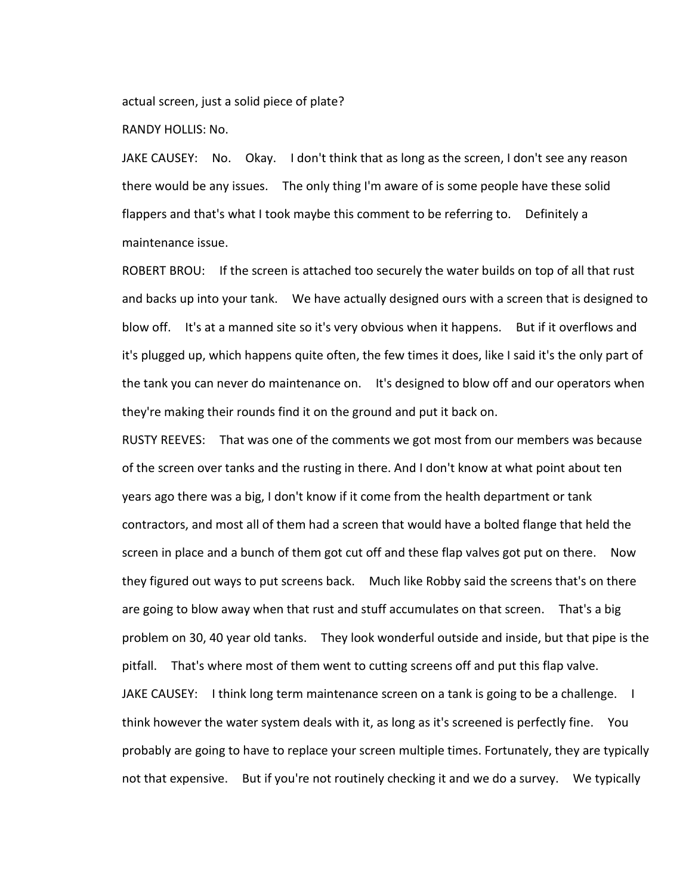actual screen, just a solid piece of plate?

RANDY HOLLIS: No.

JAKE CAUSEY: No. Okay. I don't think that as long as the screen, I don't see any reason there would be any issues. The only thing I'm aware of is some people have these solid flappers and that's what I took maybe this comment to be referring to. Definitely a maintenance issue.

ROBERT BROU: If the screen is attached too securely the water builds on top of all that rust and backs up into your tank. We have actually designed ours with a screen that is designed to blow off. It's at a manned site so it's very obvious when it happens. But if it overflows and it's plugged up, which happens quite often, the few times it does, like I said it's the only part of the tank you can never do maintenance on. It's designed to blow off and our operators when they're making their rounds find it on the ground and put it back on.

RUSTY REEVES: That was one of the comments we got most from our members was because of the screen over tanks and the rusting in there. And I don't know at what point about ten years ago there was a big, I don't know if it come from the health department or tank contractors, and most all of them had a screen that would have a bolted flange that held the screen in place and a bunch of them got cut off and these flap valves got put on there. Now they figured out ways to put screens back. Much like Robby said the screens that's on there are going to blow away when that rust and stuff accumulates on that screen. That's a big problem on 30, 40 year old tanks. They look wonderful outside and inside, but that pipe is the pitfall. That's where most of them went to cutting screens off and put this flap valve. JAKE CAUSEY: I think long term maintenance screen on a tank is going to be a challenge. I think however the water system deals with it, as long as it's screened is perfectly fine. You probably are going to have to replace your screen multiple times. Fortunately, they are typically not that expensive. But if you're not routinely checking it and we do a survey. We typically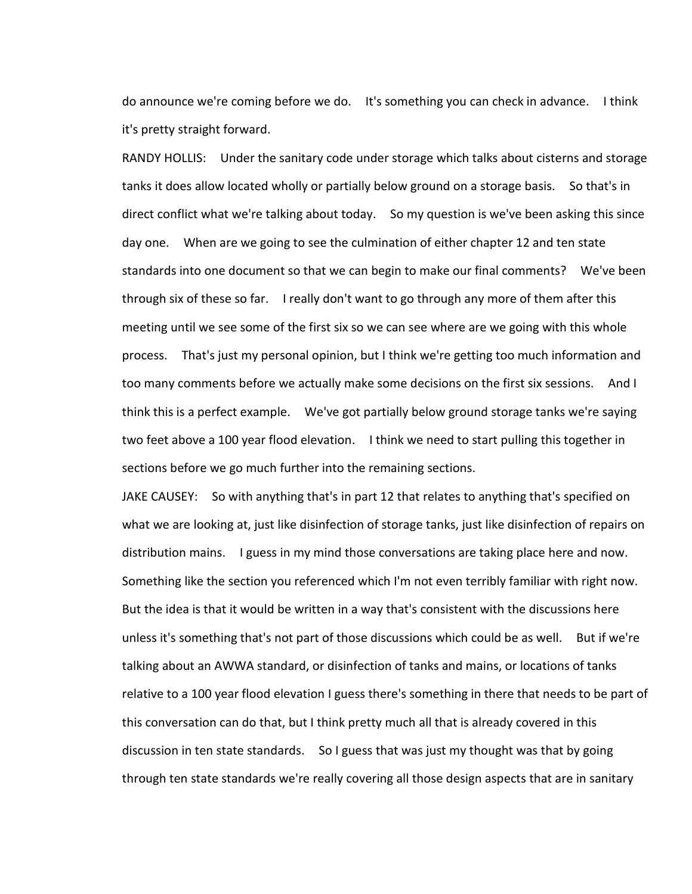do announce we're coming before we do. It's something you can check in advance. I think it's pretty straight forward.

RANDY HOLLIS: Under the sanitary code under storage which talks about cisterns and storage tanks it does allow located wholly or partially below ground on a storage basis. So that's in direct conflict what we're talking about today. So my question is we've been asking this since day one. When are we going to see the culmination of either chapter 12 and ten state standards into one document so that we can begin to make our final comments? We've been through six of these so far. I really don't want to go through any more of them after this meeting until we see some of the first six so we can see where are we going with this whole process. That's just my personal opinion, but I think we're getting too much information and too many comments before we actually make some decisions on the first six sessions. And I think this is a perfect example. We've got partially below ground storage tanks we're saying two feet above a 100 year flood elevation. I think we need to start pulling this together in sections before we go much further into the remaining sections.

JAKE CAUSEY: So with anything that's in part 12 that relates to anything that's specified on what we are looking at, just like disinfection of storage tanks, just like disinfection of repairs on distribution mains. I guess in my mind those conversations are taking place here and now. Something like the section you referenced which I'm not even terribly familiar with right now. But the idea is that it would be written in a way that's consistent with the discussions here unless it's something that's not part of those discussions which could be as well. But if we're talking about an AWWA standard, or disinfection of tanks and mains, or locations of tanks relative to a 100 year flood elevation I guess there's something in there that needs to be part of this conversation can do that, but I think pretty much all that is already covered in this discussion in ten state standards. So I guess that was just my thought was that by going through ten state standards we're really covering all those design aspects that are in sanitary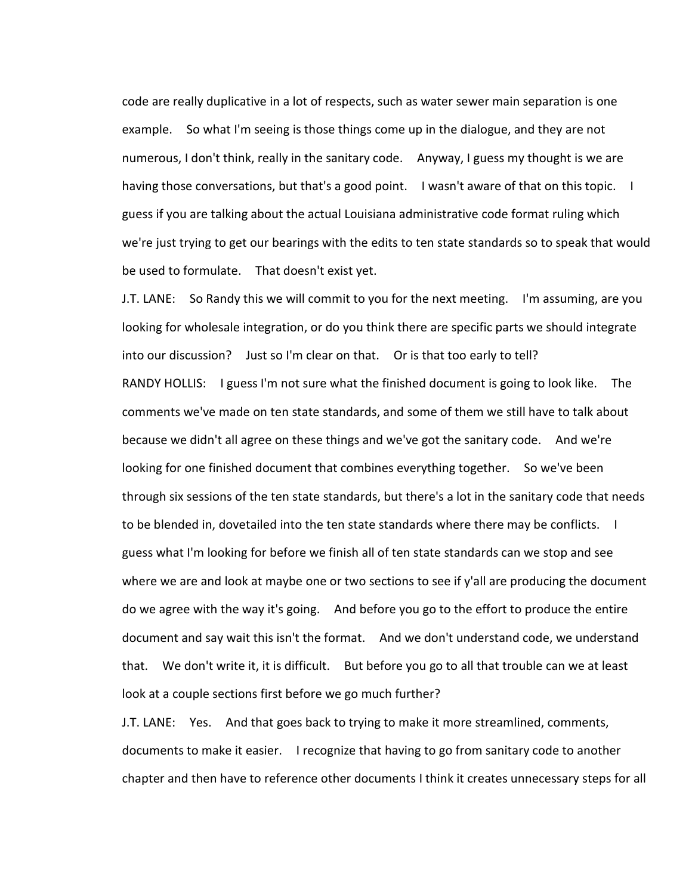code are really duplicative in a lot of respects, such as water sewer main separation is one example. So what I'm seeing is those things come up in the dialogue, and they are not numerous, I don't think, really in the sanitary code. Anyway, I guess my thought is we are having those conversations, but that's a good point. I wasn't aware of that on this topic. I guess if you are talking about the actual Louisiana administrative code format ruling which we're just trying to get our bearings with the edits to ten state standards so to speak that would be used to formulate. That doesn't exist yet.

J.T. LANE: So Randy this we will commit to you for the next meeting. I'm assuming, are you looking for wholesale integration, or do you think there are specific parts we should integrate into our discussion? Just so I'm clear on that. Or is that too early to tell? RANDY HOLLIS: I guess I'm not sure what the finished document is going to look like. The comments we've made on ten state standards, and some of them we still have to talk about because we didn't all agree on these things and we've got the sanitary code. And we're looking for one finished document that combines everything together. So we've been through six sessions of the ten state standards, but there's a lot in the sanitary code that needs to be blended in, dovetailed into the ten state standards where there may be conflicts. I guess what I'm looking for before we finish all of ten state standards can we stop and see where we are and look at maybe one or two sections to see if y'all are producing the document do we agree with the way it's going. And before you go to the effort to produce the entire document and say wait this isn't the format. And we don't understand code, we understand that. We don't write it, it is difficult. But before you go to all that trouble can we at least look at a couple sections first before we go much further?

J.T. LANE: Yes. And that goes back to trying to make it more streamlined, comments, documents to make it easier. I recognize that having to go from sanitary code to another chapter and then have to reference other documents I think it creates unnecessary steps for all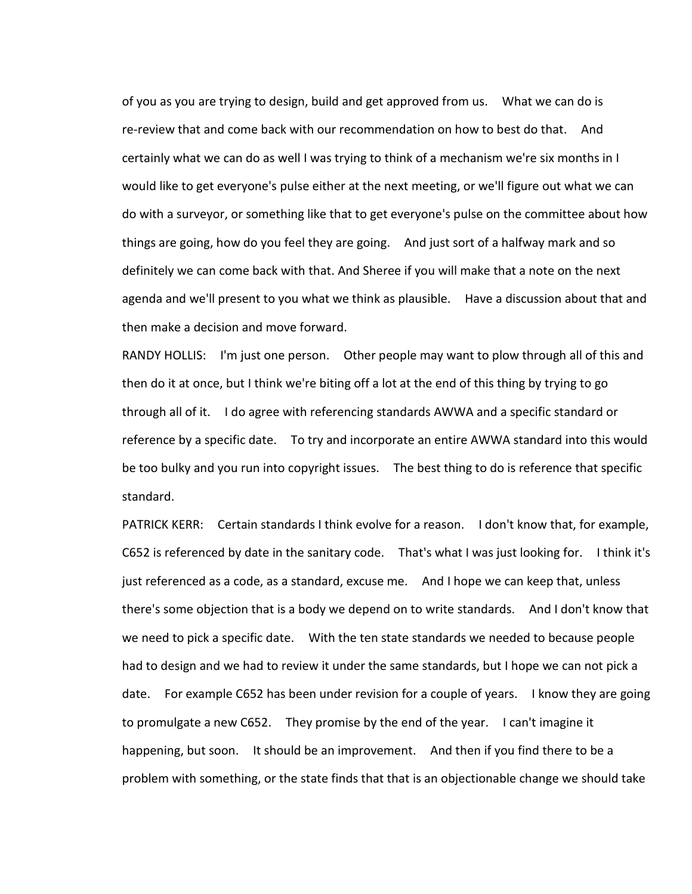of you as you are trying to design, build and get approved from us. What we can do is re-review that and come back with our recommendation on how to best do that. And certainly what we can do as well I was trying to think of a mechanism we're six months in I would like to get everyone's pulse either at the next meeting, or we'll figure out what we can do with a surveyor, or something like that to get everyone's pulse on the committee about how things are going, how do you feel they are going. And just sort of a halfway mark and so definitely we can come back with that. And Sheree if you will make that a note on the next agenda and we'll present to you what we think as plausible. Have a discussion about that and then make a decision and move forward.

RANDY HOLLIS: I'm just one person. Other people may want to plow through all of this and then do it at once, but I think we're biting off a lot at the end of this thing by trying to go through all of it. I do agree with referencing standards AWWA and a specific standard or reference by a specific date. To try and incorporate an entire AWWA standard into this would be too bulky and you run into copyright issues. The best thing to do is reference that specific standard.

PATRICK KERR: Certain standards I think evolve for a reason. I don't know that, for example, C652 is referenced by date in the sanitary code. That's what I was just looking for. I think it's just referenced as a code, as a standard, excuse me. And I hope we can keep that, unless there's some objection that is a body we depend on to write standards. And I don't know that we need to pick a specific date. With the ten state standards we needed to because people had to design and we had to review it under the same standards, but I hope we can not pick a date. For example C652 has been under revision for a couple of years. I know they are going to promulgate a new C652. They promise by the end of the year. I can't imagine it happening, but soon. It should be an improvement. And then if you find there to be a problem with something, or the state finds that that is an objectionable change we should take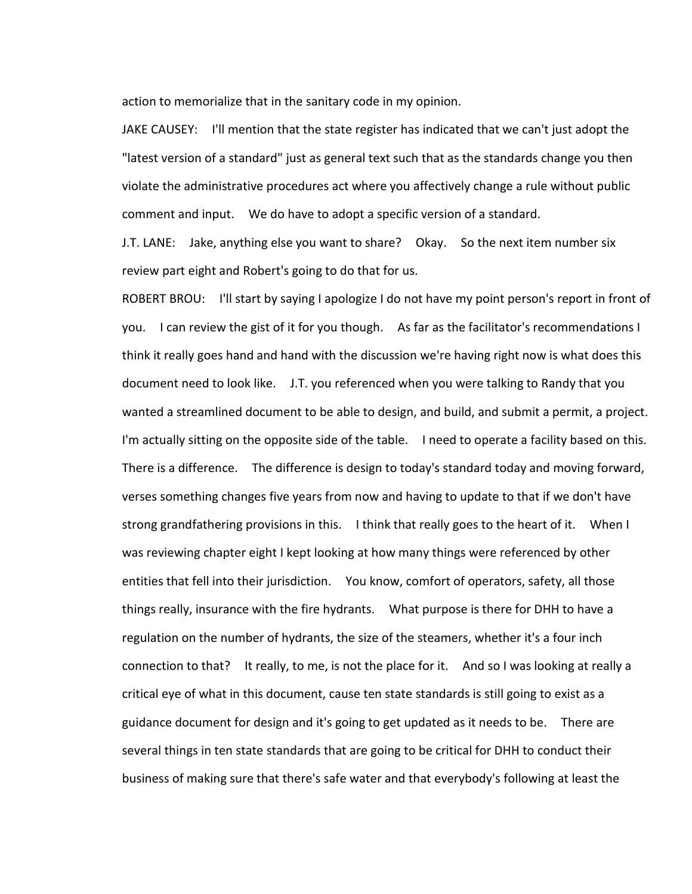action to memorialize that in the sanitary code in my opinion.

JAKE CAUSEY: I'll mention that the state register has indicated that we can't just adopt the "latest version of a standard" just as general text such that as the standards change you then violate the administrative procedures act where you affectively change a rule without public comment and input. We do have to adopt a specific version of a standard.

J.T. LANE: Jake, anything else you want to share? Okay. So the next item number six review part eight and Robert's going to do that for us.

ROBERT BROU: I'll start by saying I apologize I do not have my point person's report in front of you. I can review the gist of it for you though. As far as the facilitator's recommendations I think it really goes hand and hand with the discussion we're having right now is what does this document need to look like. J.T. you referenced when you were talking to Randy that you wanted a streamlined document to be able to design, and build, and submit a permit, a project. I'm actually sitting on the opposite side of the table. I need to operate a facility based on this. There is a difference. The difference is design to today's standard today and moving forward, verses something changes five years from now and having to update to that if we don't have strong grandfathering provisions in this. I think that really goes to the heart of it. When I was reviewing chapter eight I kept looking at how many things were referenced by other entities that fell into their jurisdiction. You know, comfort of operators, safety, all those things really, insurance with the fire hydrants. What purpose is there for DHH to have a regulation on the number of hydrants, the size of the steamers, whether it's a four inch connection to that? It really, to me, is not the place for it. And so I was looking at really a critical eye of what in this document, cause ten state standards is still going to exist as a guidance document for design and it's going to get updated as it needs to be. There are several things in ten state standards that are going to be critical for DHH to conduct their business of making sure that there's safe water and that everybody's following at least the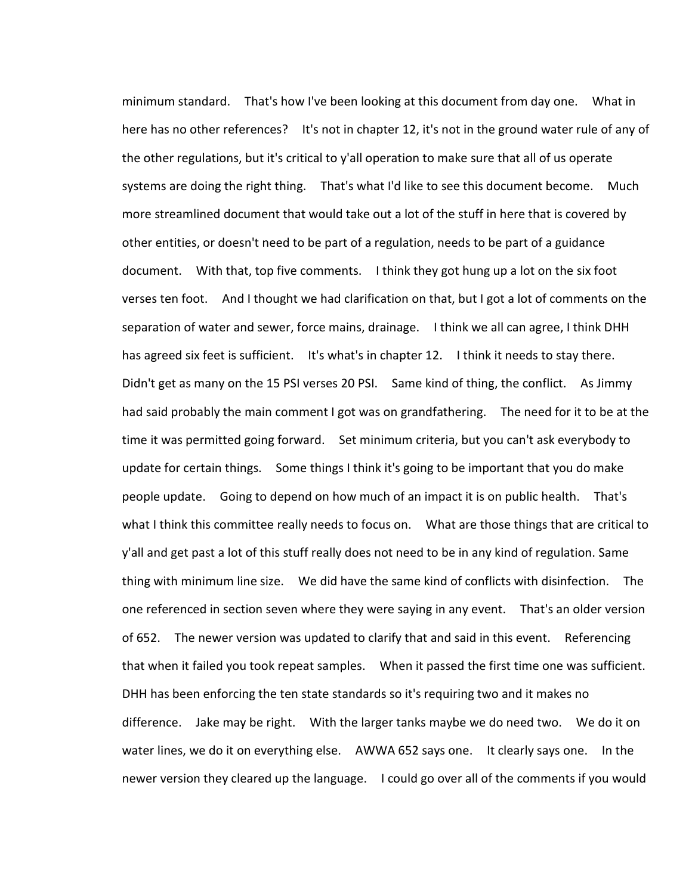minimum standard. That's how I've been looking at this document from day one. What in here has no other references? It's not in chapter 12, it's not in the ground water rule of any of the other regulations, but it's critical to y'all operation to make sure that all of us operate systems are doing the right thing. That's what I'd like to see this document become. Much more streamlined document that would take out a lot of the stuff in here that is covered by other entities, or doesn't need to be part of a regulation, needs to be part of a guidance document. With that, top five comments. I think they got hung up a lot on the six foot verses ten foot. And I thought we had clarification on that, but I got a lot of comments on the separation of water and sewer, force mains, drainage. I think we all can agree, I think DHH has agreed six feet is sufficient. It's what's in chapter 12. I think it needs to stay there. Didn't get as many on the 15 PSI verses 20 PSI. Same kind of thing, the conflict. As Jimmy had said probably the main comment I got was on grandfathering. The need for it to be at the time it was permitted going forward. Set minimum criteria, but you can't ask everybody to update for certain things. Some things I think it's going to be important that you do make people update. Going to depend on how much of an impact it is on public health. That's what I think this committee really needs to focus on. What are those things that are critical to y'all and get past a lot of this stuff really does not need to be in any kind of regulation. Same thing with minimum line size. We did have the same kind of conflicts with disinfection. The one referenced in section seven where they were saying in any event. That's an older version of 652. The newer version was updated to clarify that and said in this event. Referencing that when it failed you took repeat samples. When it passed the first time one was sufficient. DHH has been enforcing the ten state standards so it's requiring two and it makes no difference. Jake may be right. With the larger tanks maybe we do need two. We do it on water lines, we do it on everything else. AWWA 652 says one. It clearly says one. In the newer version they cleared up the language. I could go over all of the comments if you would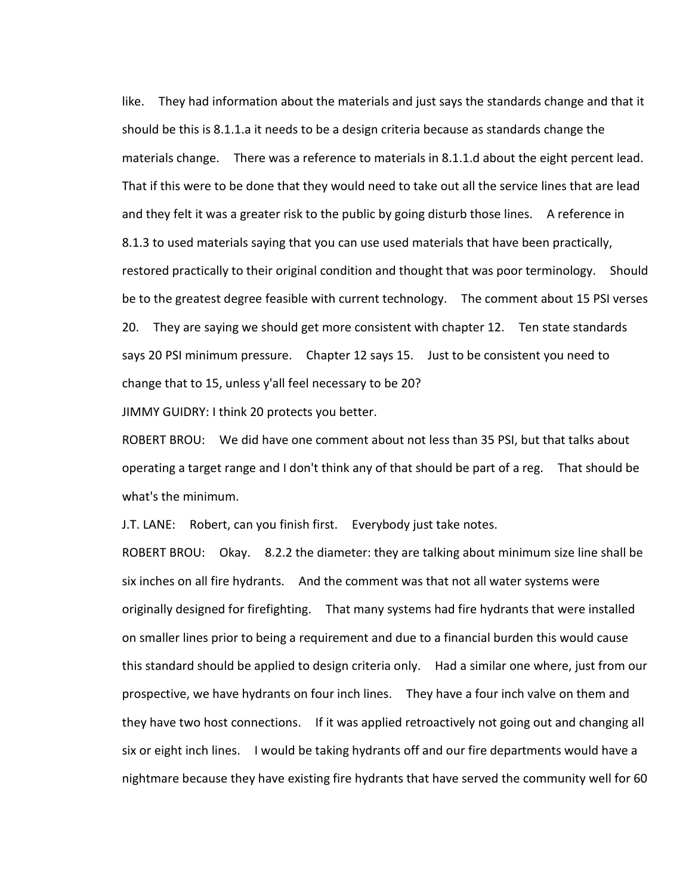like. They had information about the materials and just says the standards change and that it should be this is 8.1.1.a it needs to be a design criteria because as standards change the materials change. There was a reference to materials in 8.1.1.d about the eight percent lead. That if this were to be done that they would need to take out all the service lines that are lead and they felt it was a greater risk to the public by going disturb those lines. A reference in 8.1.3 to used materials saying that you can use used materials that have been practically, restored practically to their original condition and thought that was poor terminology. Should be to the greatest degree feasible with current technology. The comment about 15 PSI verses 20. They are saying we should get more consistent with chapter 12. Ten state standards says 20 PSI minimum pressure. Chapter 12 says 15. Just to be consistent you need to change that to 15, unless y'all feel necessary to be 20?

JIMMY GUIDRY: I think 20 protects you better.

ROBERT BROU: We did have one comment about not less than 35 PSI, but that talks about operating a target range and I don't think any of that should be part of a reg. That should be what's the minimum.

J.T. LANE: Robert, can you finish first. Everybody just take notes.

ROBERT BROU: Okay. 8.2.2 the diameter: they are talking about minimum size line shall be six inches on all fire hydrants. And the comment was that not all water systems were originally designed for firefighting. That many systems had fire hydrants that were installed on smaller lines prior to being a requirement and due to a financial burden this would cause this standard should be applied to design criteria only. Had a similar one where, just from our prospective, we have hydrants on four inch lines. They have a four inch valve on them and they have two host connections. If it was applied retroactively not going out and changing all six or eight inch lines. I would be taking hydrants off and our fire departments would have a nightmare because they have existing fire hydrants that have served the community well for 60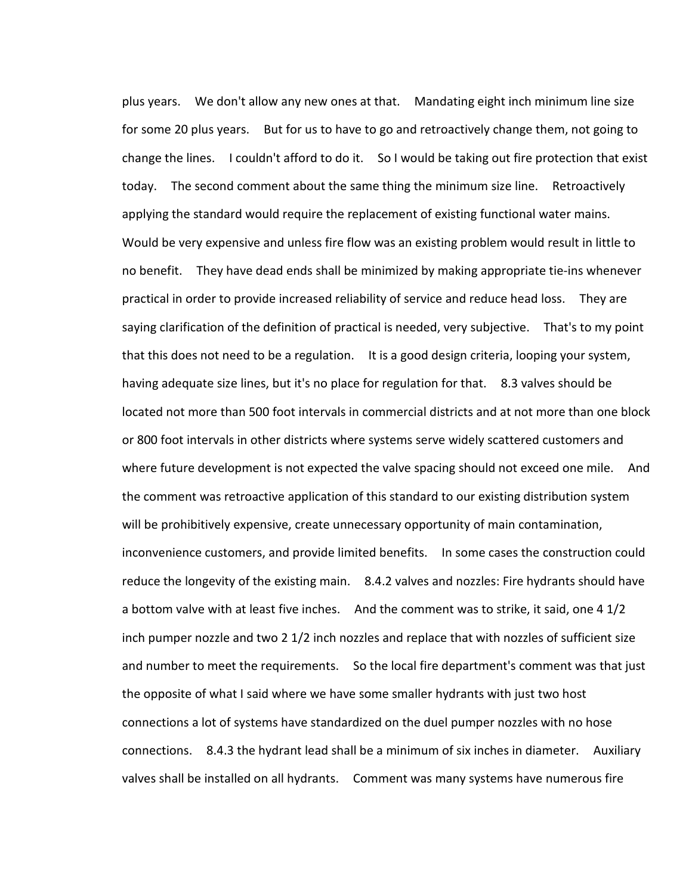plus years. We don't allow any new ones at that. Mandating eight inch minimum line size for some 20 plus years. But for us to have to go and retroactively change them, not going to change the lines. I couldn't afford to do it. So I would be taking out fire protection that exist today. The second comment about the same thing the minimum size line. Retroactively applying the standard would require the replacement of existing functional water mains. Would be very expensive and unless fire flow was an existing problem would result in little to no benefit. They have dead ends shall be minimized by making appropriate tie-ins whenever practical in order to provide increased reliability of service and reduce head loss. They are saying clarification of the definition of practical is needed, very subjective. That's to my point that this does not need to be a regulation. It is a good design criteria, looping your system, having adequate size lines, but it's no place for regulation for that. 8.3 valves should be located not more than 500 foot intervals in commercial districts and at not more than one block or 800 foot intervals in other districts where systems serve widely scattered customers and where future development is not expected the valve spacing should not exceed one mile. And the comment was retroactive application of this standard to our existing distribution system will be prohibitively expensive, create unnecessary opportunity of main contamination, inconvenience customers, and provide limited benefits. In some cases the construction could reduce the longevity of the existing main. 8.4.2 valves and nozzles: Fire hydrants should have a bottom valve with at least five inches. And the comment was to strike, it said, one 4 1/2 inch pumper nozzle and two 2 1/2 inch nozzles and replace that with nozzles of sufficient size and number to meet the requirements. So the local fire department's comment was that just the opposite of what I said where we have some smaller hydrants with just two host connections a lot of systems have standardized on the duel pumper nozzles with no hose connections. 8.4.3 the hydrant lead shall be a minimum of six inches in diameter. Auxiliary valves shall be installed on all hydrants. Comment was many systems have numerous fire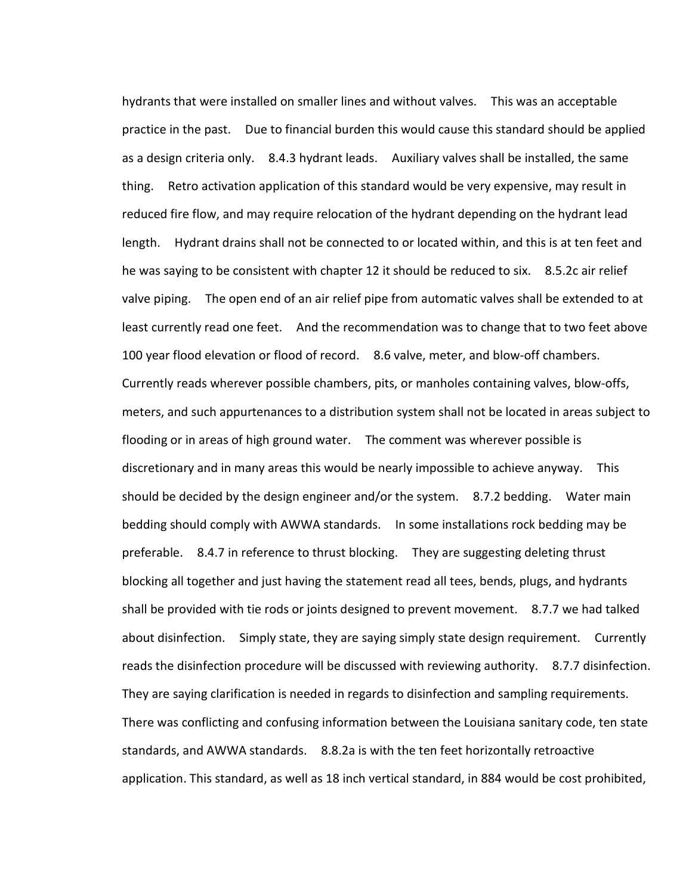hydrants that were installed on smaller lines and without valves. This was an acceptable practice in the past. Due to financial burden this would cause this standard should be applied as a design criteria only. 8.4.3 hydrant leads. Auxiliary valves shall be installed, the same thing. Retro activation application of this standard would be very expensive, may result in reduced fire flow, and may require relocation of the hydrant depending on the hydrant lead length. Hydrant drains shall not be connected to or located within, and this is at ten feet and he was saying to be consistent with chapter 12 it should be reduced to six. 8.5.2c air relief valve piping. The open end of an air relief pipe from automatic valves shall be extended to at least currently read one feet. And the recommendation was to change that to two feet above 100 year flood elevation or flood of record. 8.6 valve, meter, and blow-off chambers. Currently reads wherever possible chambers, pits, or manholes containing valves, blow-offs, meters, and such appurtenances to a distribution system shall not be located in areas subject to flooding or in areas of high ground water. The comment was wherever possible is discretionary and in many areas this would be nearly impossible to achieve anyway. This should be decided by the design engineer and/or the system. 8.7.2 bedding. Water main bedding should comply with AWWA standards. In some installations rock bedding may be preferable. 8.4.7 in reference to thrust blocking. They are suggesting deleting thrust blocking all together and just having the statement read all tees, bends, plugs, and hydrants shall be provided with tie rods or joints designed to prevent movement. 8.7.7 we had talked about disinfection. Simply state, they are saying simply state design requirement. Currently reads the disinfection procedure will be discussed with reviewing authority. 8.7.7 disinfection. They are saying clarification is needed in regards to disinfection and sampling requirements. There was conflicting and confusing information between the Louisiana sanitary code, ten state standards, and AWWA standards. 8.8.2a is with the ten feet horizontally retroactive application. This standard, as well as 18 inch vertical standard, in 884 would be cost prohibited,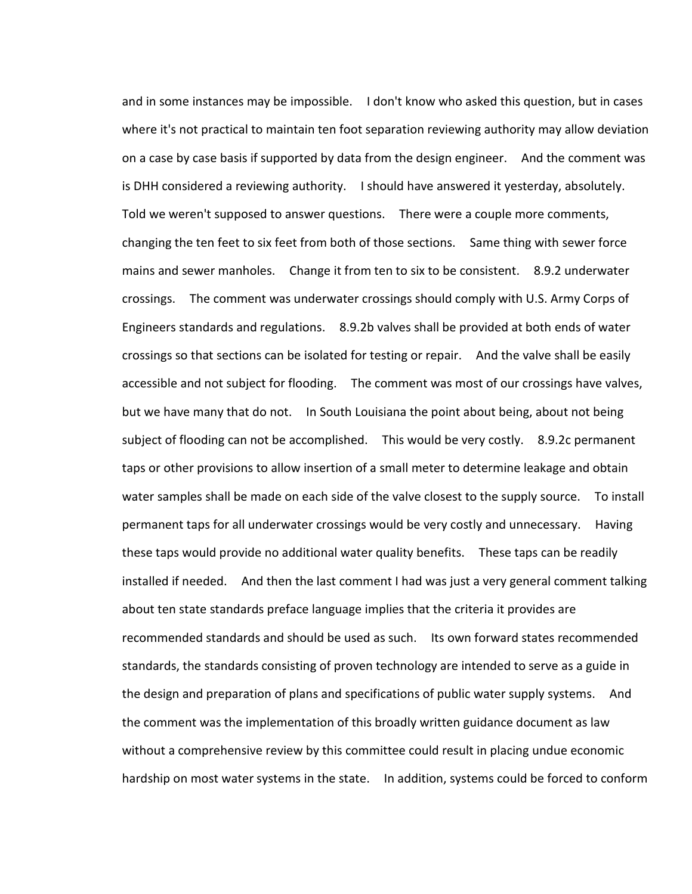and in some instances may be impossible. I don't know who asked this question, but in cases where it's not practical to maintain ten foot separation reviewing authority may allow deviation on a case by case basis if supported by data from the design engineer. And the comment was is DHH considered a reviewing authority. I should have answered it yesterday, absolutely. Told we weren't supposed to answer questions. There were a couple more comments, changing the ten feet to six feet from both of those sections. Same thing with sewer force mains and sewer manholes. Change it from ten to six to be consistent. 8.9.2 underwater crossings. The comment was underwater crossings should comply with U.S. Army Corps of Engineers standards and regulations. 8.9.2b valves shall be provided at both ends of water crossings so that sections can be isolated for testing or repair. And the valve shall be easily accessible and not subject for flooding. The comment was most of our crossings have valves, but we have many that do not. In South Louisiana the point about being, about not being subject of flooding can not be accomplished. This would be very costly. 8.9.2c permanent taps or other provisions to allow insertion of a small meter to determine leakage and obtain water samples shall be made on each side of the valve closest to the supply source. To install permanent taps for all underwater crossings would be very costly and unnecessary. Having these taps would provide no additional water quality benefits. These taps can be readily installed if needed. And then the last comment I had was just a very general comment talking about ten state standards preface language implies that the criteria it provides are recommended standards and should be used as such. Its own forward states recommended standards, the standards consisting of proven technology are intended to serve as a guide in the design and preparation of plans and specifications of public water supply systems. And the comment was the implementation of this broadly written guidance document as law without a comprehensive review by this committee could result in placing undue economic hardship on most water systems in the state. In addition, systems could be forced to conform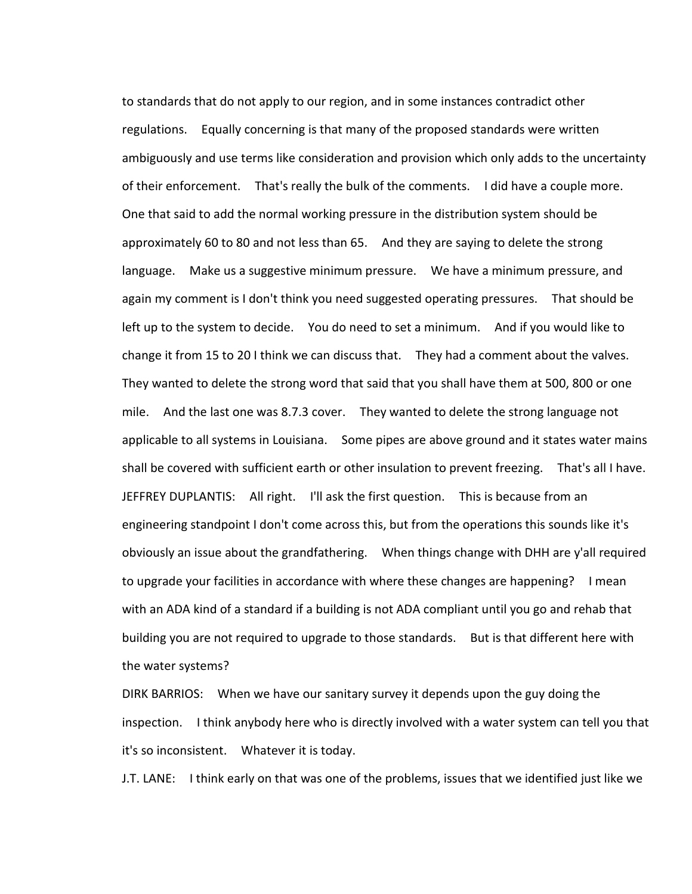to standards that do not apply to our region, and in some instances contradict other regulations. Equally concerning is that many of the proposed standards were written ambiguously and use terms like consideration and provision which only adds to the uncertainty of their enforcement. That's really the bulk of the comments. I did have a couple more. One that said to add the normal working pressure in the distribution system should be approximately 60 to 80 and not less than 65. And they are saying to delete the strong language. Make us a suggestive minimum pressure. We have a minimum pressure, and again my comment is I don't think you need suggested operating pressures. That should be left up to the system to decide. You do need to set a minimum. And if you would like to change it from 15 to 20 I think we can discuss that. They had a comment about the valves. They wanted to delete the strong word that said that you shall have them at 500, 800 or one mile. And the last one was 8.7.3 cover. They wanted to delete the strong language not applicable to all systems in Louisiana. Some pipes are above ground and it states water mains shall be covered with sufficient earth or other insulation to prevent freezing. That's all I have. JEFFREY DUPLANTIS: All right. I'll ask the first question. This is because from an engineering standpoint I don't come across this, but from the operations this sounds like it's obviously an issue about the grandfathering. When things change with DHH are y'all required to upgrade your facilities in accordance with where these changes are happening? I mean with an ADA kind of a standard if a building is not ADA compliant until you go and rehab that building you are not required to upgrade to those standards. But is that different here with the water systems?

DIRK BARRIOS: When we have our sanitary survey it depends upon the guy doing the inspection. I think anybody here who is directly involved with a water system can tell you that it's so inconsistent. Whatever it is today.

J.T. LANE: I think early on that was one of the problems, issues that we identified just like we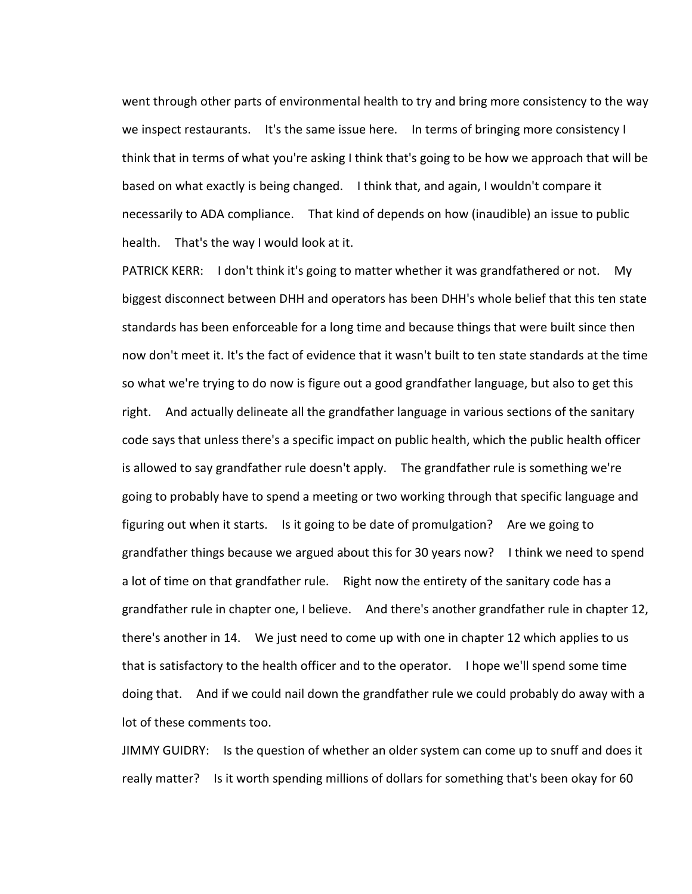went through other parts of environmental health to try and bring more consistency to the way we inspect restaurants. It's the same issue here. In terms of bringing more consistency I think that in terms of what you're asking I think that's going to be how we approach that will be based on what exactly is being changed. I think that, and again, I wouldn't compare it necessarily to ADA compliance. That kind of depends on how (inaudible) an issue to public health. That's the way I would look at it.

PATRICK KERR: I don't think it's going to matter whether it was grandfathered or not. My biggest disconnect between DHH and operators has been DHH's whole belief that this ten state standards has been enforceable for a long time and because things that were built since then now don't meet it. It's the fact of evidence that it wasn't built to ten state standards at the time so what we're trying to do now is figure out a good grandfather language, but also to get this right. And actually delineate all the grandfather language in various sections of the sanitary code says that unless there's a specific impact on public health, which the public health officer is allowed to say grandfather rule doesn't apply. The grandfather rule is something we're going to probably have to spend a meeting or two working through that specific language and figuring out when it starts. Is it going to be date of promulgation? Are we going to grandfather things because we argued about this for 30 years now? I think we need to spend a lot of time on that grandfather rule. Right now the entirety of the sanitary code has a grandfather rule in chapter one, I believe. And there's another grandfather rule in chapter 12, there's another in 14. We just need to come up with one in chapter 12 which applies to us that is satisfactory to the health officer and to the operator. I hope we'll spend some time doing that. And if we could nail down the grandfather rule we could probably do away with a lot of these comments too.

JIMMY GUIDRY: Is the question of whether an older system can come up to snuff and does it really matter? Is it worth spending millions of dollars for something that's been okay for 60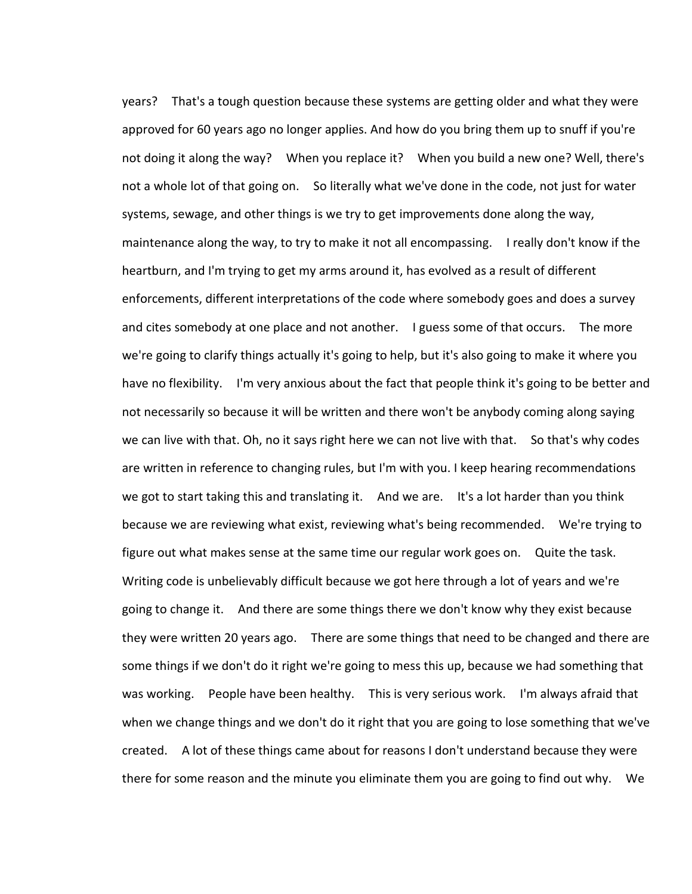years? That's a tough question because these systems are getting older and what they were approved for 60 years ago no longer applies. And how do you bring them up to snuff if you're not doing it along the way? When you replace it? When you build a new one? Well, there's not a whole lot of that going on. So literally what we've done in the code, not just for water systems, sewage, and other things is we try to get improvements done along the way, maintenance along the way, to try to make it not all encompassing. I really don't know if the heartburn, and I'm trying to get my arms around it, has evolved as a result of different enforcements, different interpretations of the code where somebody goes and does a survey and cites somebody at one place and not another. I guess some of that occurs. The more we're going to clarify things actually it's going to help, but it's also going to make it where you have no flexibility. I'm very anxious about the fact that people think it's going to be better and not necessarily so because it will be written and there won't be anybody coming along saying we can live with that. Oh, no it says right here we can not live with that. So that's why codes are written in reference to changing rules, but I'm with you. I keep hearing recommendations we got to start taking this and translating it. And we are. It's a lot harder than you think because we are reviewing what exist, reviewing what's being recommended. We're trying to figure out what makes sense at the same time our regular work goes on. Quite the task. Writing code is unbelievably difficult because we got here through a lot of years and we're going to change it. And there are some things there we don't know why they exist because they were written 20 years ago. There are some things that need to be changed and there are some things if we don't do it right we're going to mess this up, because we had something that was working. People have been healthy. This is very serious work. I'm always afraid that when we change things and we don't do it right that you are going to lose something that we've created. A lot of these things came about for reasons I don't understand because they were there for some reason and the minute you eliminate them you are going to find out why. We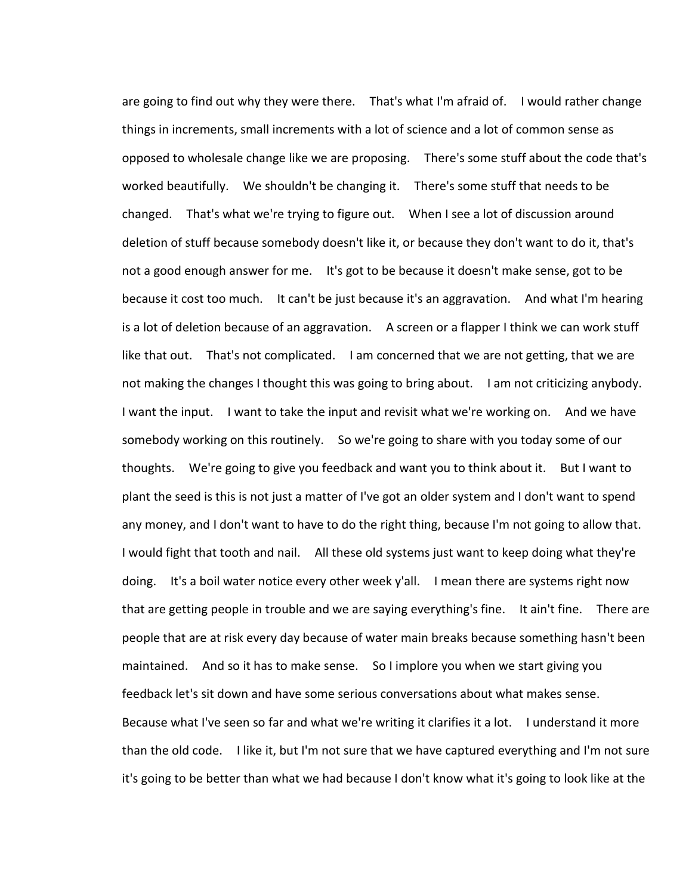are going to find out why they were there. That's what I'm afraid of. I would rather change things in increments, small increments with a lot of science and a lot of common sense as opposed to wholesale change like we are proposing. There's some stuff about the code that's worked beautifully. We shouldn't be changing it. There's some stuff that needs to be changed. That's what we're trying to figure out. When I see a lot of discussion around deletion of stuff because somebody doesn't like it, or because they don't want to do it, that's not a good enough answer for me. It's got to be because it doesn't make sense, got to be because it cost too much. It can't be just because it's an aggravation. And what I'm hearing is a lot of deletion because of an aggravation. A screen or a flapper I think we can work stuff like that out. That's not complicated. I am concerned that we are not getting, that we are not making the changes I thought this was going to bring about. I am not criticizing anybody. I want the input. I want to take the input and revisit what we're working on. And we have somebody working on this routinely. So we're going to share with you today some of our thoughts. We're going to give you feedback and want you to think about it. But I want to plant the seed is this is not just a matter of I've got an older system and I don't want to spend any money, and I don't want to have to do the right thing, because I'm not going to allow that. I would fight that tooth and nail. All these old systems just want to keep doing what they're doing. It's a boil water notice every other week y'all. I mean there are systems right now that are getting people in trouble and we are saying everything's fine. It ain't fine. There are people that are at risk every day because of water main breaks because something hasn't been maintained. And so it has to make sense. So I implore you when we start giving you feedback let's sit down and have some serious conversations about what makes sense. Because what I've seen so far and what we're writing it clarifies it a lot. I understand it more than the old code. I like it, but I'm not sure that we have captured everything and I'm not sure it's going to be better than what we had because I don't know what it's going to look like at the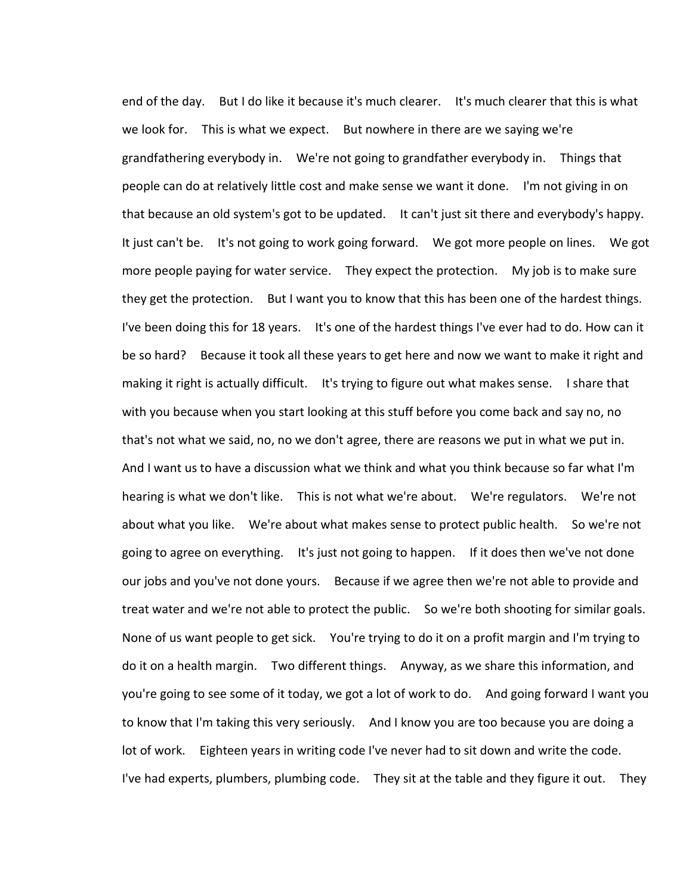end of the day. But I do like it because it's much clearer. It's much clearer that this is what we look for. This is what we expect. But nowhere in there are we saying we're grandfathering everybody in. We're not going to grandfather everybody in. Things that people can do at relatively little cost and make sense we want it done. I'm not giving in on that because an old system's got to be updated. It can't just sit there and everybody's happy. It just can't be. It's not going to work going forward. We got more people on lines. We got more people paying for water service. They expect the protection. My job is to make sure they get the protection. But I want you to know that this has been one of the hardest things. I've been doing this for 18 years. It's one of the hardest things I've ever had to do. How can it be so hard? Because it took all these years to get here and now we want to make it right and making it right is actually difficult. It's trying to figure out what makes sense. I share that with you because when you start looking at this stuff before you come back and say no, no that's not what we said, no, no we don't agree, there are reasons we put in what we put in. And I want us to have a discussion what we think and what you think because so far what I'm hearing is what we don't like. This is not what we're about. We're regulators. We're not about what you like. We're about what makes sense to protect public health. So we're not going to agree on everything. It's just not going to happen. If it does then we've not done our jobs and you've not done yours. Because if we agree then we're not able to provide and treat water and we're not able to protect the public. So we're both shooting for similar goals. None of us want people to get sick. You're trying to do it on a profit margin and I'm trying to do it on a health margin. Two different things. Anyway, as we share this information, and you're going to see some of it today, we got a lot of work to do. And going forward I want you to know that I'm taking this very seriously. And I know you are too because you are doing a lot of work. Eighteen years in writing code I've never had to sit down and write the code. I've had experts, plumbers, plumbing code. They sit at the table and they figure it out. They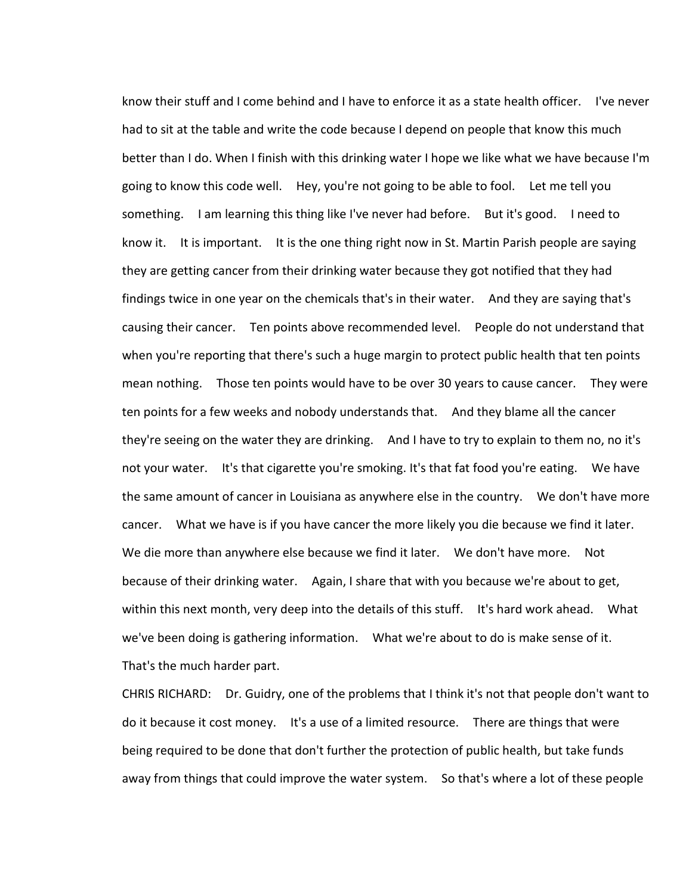know their stuff and I come behind and I have to enforce it as a state health officer. I've never had to sit at the table and write the code because I depend on people that know this much better than I do. When I finish with this drinking water I hope we like what we have because I'm going to know this code well. Hey, you're not going to be able to fool. Let me tell you something. I am learning this thing like I've never had before. But it's good. I need to know it. It is important. It is the one thing right now in St. Martin Parish people are saying they are getting cancer from their drinking water because they got notified that they had findings twice in one year on the chemicals that's in their water. And they are saying that's causing their cancer. Ten points above recommended level. People do not understand that when you're reporting that there's such a huge margin to protect public health that ten points mean nothing. Those ten points would have to be over 30 years to cause cancer. They were ten points for a few weeks and nobody understands that. And they blame all the cancer they're seeing on the water they are drinking. And I have to try to explain to them no, no it's not your water. It's that cigarette you're smoking. It's that fat food you're eating. We have the same amount of cancer in Louisiana as anywhere else in the country. We don't have more cancer. What we have is if you have cancer the more likely you die because we find it later. We die more than anywhere else because we find it later. We don't have more. Not because of their drinking water. Again, I share that with you because we're about to get, within this next month, very deep into the details of this stuff. It's hard work ahead. What we've been doing is gathering information. What we're about to do is make sense of it. That's the much harder part.

CHRIS RICHARD: Dr. Guidry, one of the problems that I think it's not that people don't want to do it because it cost money. It's a use of a limited resource. There are things that were being required to be done that don't further the protection of public health, but take funds away from things that could improve the water system. So that's where a lot of these people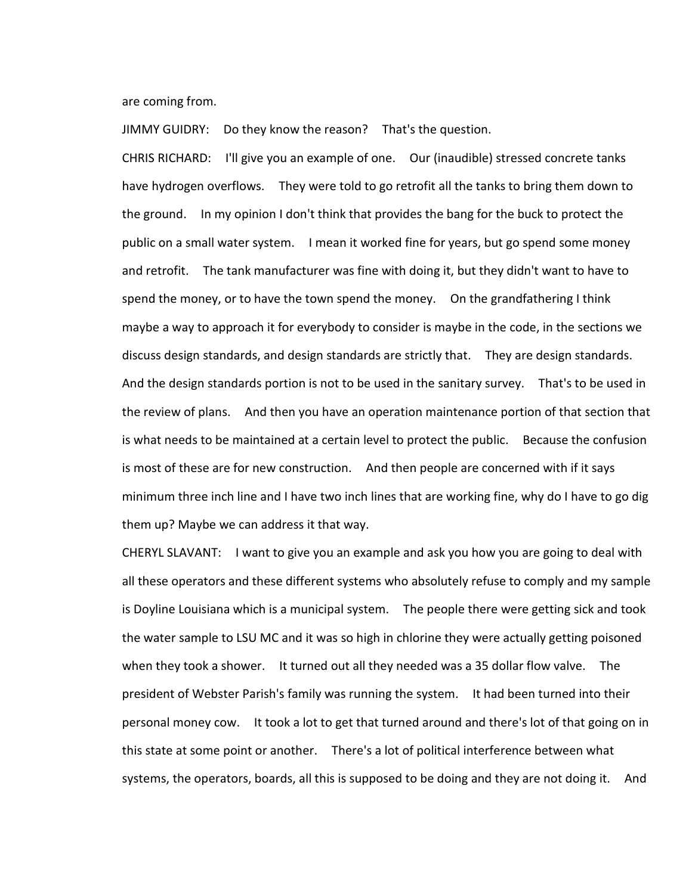are coming from.

JIMMY GUIDRY: Do they know the reason? That's the question.

CHRIS RICHARD: I'll give you an example of one. Our (inaudible) stressed concrete tanks have hydrogen overflows. They were told to go retrofit all the tanks to bring them down to the ground. In my opinion I don't think that provides the bang for the buck to protect the public on a small water system. I mean it worked fine for years, but go spend some money and retrofit. The tank manufacturer was fine with doing it, but they didn't want to have to spend the money, or to have the town spend the money. On the grandfathering I think maybe a way to approach it for everybody to consider is maybe in the code, in the sections we discuss design standards, and design standards are strictly that. They are design standards. And the design standards portion is not to be used in the sanitary survey. That's to be used in the review of plans. And then you have an operation maintenance portion of that section that is what needs to be maintained at a certain level to protect the public. Because the confusion is most of these are for new construction. And then people are concerned with if it says minimum three inch line and I have two inch lines that are working fine, why do I have to go dig them up? Maybe we can address it that way.

CHERYL SLAVANT: I want to give you an example and ask you how you are going to deal with all these operators and these different systems who absolutely refuse to comply and my sample is Doyline Louisiana which is a municipal system. The people there were getting sick and took the water sample to LSU MC and it was so high in chlorine they were actually getting poisoned when they took a shower. It turned out all they needed was a 35 dollar flow valve. The president of Webster Parish's family was running the system. It had been turned into their personal money cow. It took a lot to get that turned around and there's lot of that going on in this state at some point or another. There's a lot of political interference between what systems, the operators, boards, all this is supposed to be doing and they are not doing it. And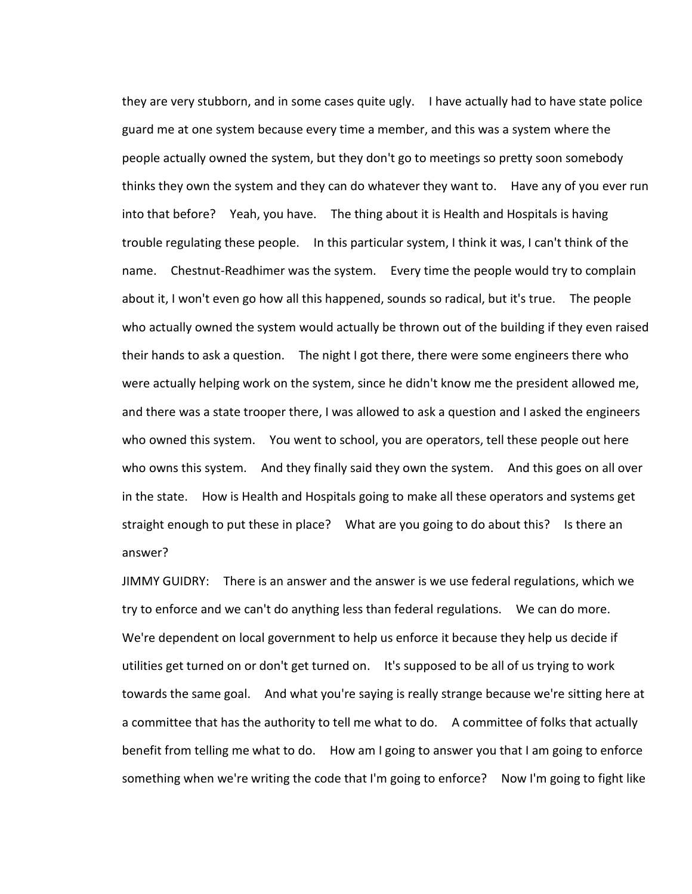they are very stubborn, and in some cases quite ugly. I have actually had to have state police guard me at one system because every time a member, and this was a system where the people actually owned the system, but they don't go to meetings so pretty soon somebody thinks they own the system and they can do whatever they want to. Have any of you ever run into that before? Yeah, you have. The thing about it is Health and Hospitals is having trouble regulating these people. In this particular system, I think it was, I can't think of the name. Chestnut-Readhimer was the system. Every time the people would try to complain about it, I won't even go how all this happened, sounds so radical, but it's true. The people who actually owned the system would actually be thrown out of the building if they even raised their hands to ask a question. The night I got there, there were some engineers there who were actually helping work on the system, since he didn't know me the president allowed me, and there was a state trooper there, I was allowed to ask a question and I asked the engineers who owned this system. You went to school, you are operators, tell these people out here who owns this system. And they finally said they own the system. And this goes on all over in the state. How is Health and Hospitals going to make all these operators and systems get straight enough to put these in place? What are you going to do about this? Is there an answer?

JIMMY GUIDRY: There is an answer and the answer is we use federal regulations, which we try to enforce and we can't do anything less than federal regulations. We can do more. We're dependent on local government to help us enforce it because they help us decide if utilities get turned on or don't get turned on. It's supposed to be all of us trying to work towards the same goal. And what you're saying is really strange because we're sitting here at a committee that has the authority to tell me what to do. A committee of folks that actually benefit from telling me what to do. How am I going to answer you that I am going to enforce something when we're writing the code that I'm going to enforce? Now I'm going to fight like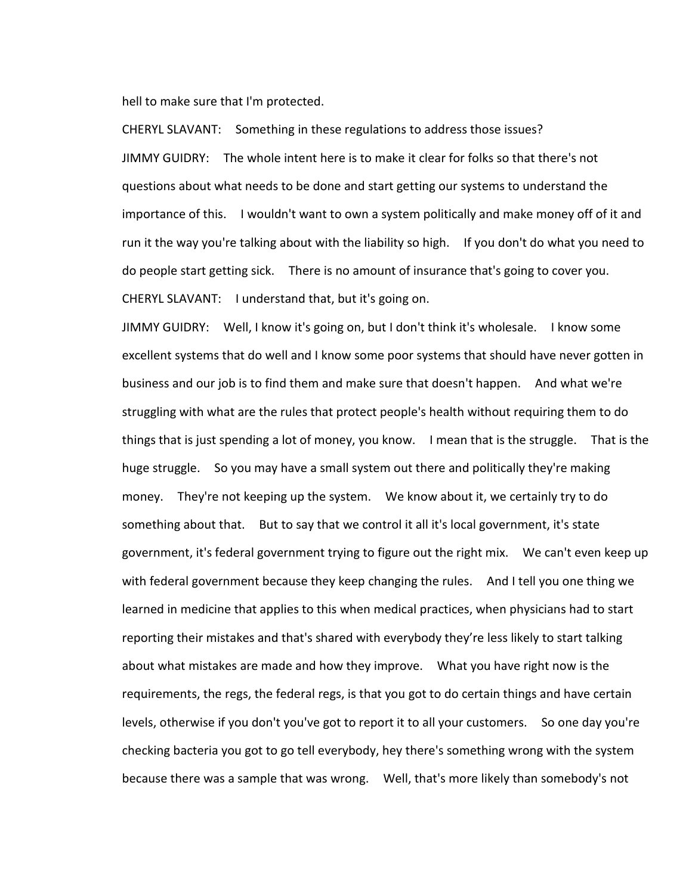hell to make sure that I'm protected.

CHERYL SLAVANT: Something in these regulations to address those issues? JIMMY GUIDRY: The whole intent here is to make it clear for folks so that there's not questions about what needs to be done and start getting our systems to understand the importance of this. I wouldn't want to own a system politically and make money off of it and run it the way you're talking about with the liability so high. If you don't do what you need to do people start getting sick. There is no amount of insurance that's going to cover you. CHERYL SLAVANT: I understand that, but it's going on.

JIMMY GUIDRY: Well, I know it's going on, but I don't think it's wholesale. I know some excellent systems that do well and I know some poor systems that should have never gotten in business and our job is to find them and make sure that doesn't happen. And what we're struggling with what are the rules that protect people's health without requiring them to do things that is just spending a lot of money, you know. I mean that is the struggle. That is the huge struggle. So you may have a small system out there and politically they're making money. They're not keeping up the system. We know about it, we certainly try to do something about that. But to say that we control it all it's local government, it's state government, it's federal government trying to figure out the right mix. We can't even keep up with federal government because they keep changing the rules. And I tell you one thing we learned in medicine that applies to this when medical practices, when physicians had to start reporting their mistakes and that's shared with everybody they're less likely to start talking about what mistakes are made and how they improve. What you have right now is the requirements, the regs, the federal regs, is that you got to do certain things and have certain levels, otherwise if you don't you've got to report it to all your customers. So one day you're checking bacteria you got to go tell everybody, hey there's something wrong with the system because there was a sample that was wrong. Well, that's more likely than somebody's not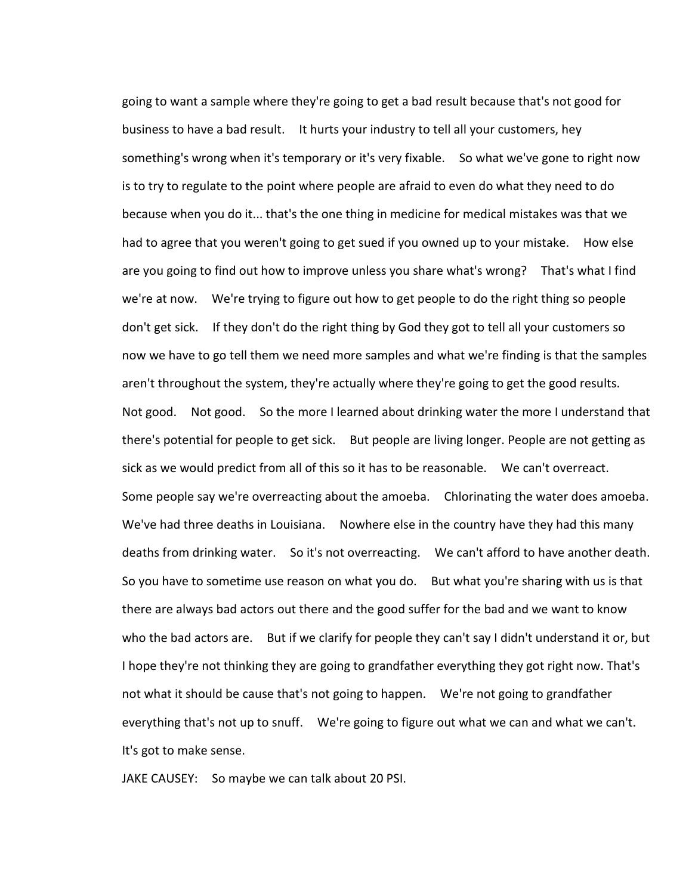going to want a sample where they're going to get a bad result because that's not good for business to have a bad result. It hurts your industry to tell all your customers, hey something's wrong when it's temporary or it's very fixable. So what we've gone to right now is to try to regulate to the point where people are afraid to even do what they need to do because when you do it... that's the one thing in medicine for medical mistakes was that we had to agree that you weren't going to get sued if you owned up to your mistake. How else are you going to find out how to improve unless you share what's wrong? That's what I find we're at now. We're trying to figure out how to get people to do the right thing so people don't get sick. If they don't do the right thing by God they got to tell all your customers so now we have to go tell them we need more samples and what we're finding is that the samples aren't throughout the system, they're actually where they're going to get the good results. Not good. Not good. So the more I learned about drinking water the more I understand that there's potential for people to get sick. But people are living longer. People are not getting as sick as we would predict from all of this so it has to be reasonable. We can't overreact. Some people say we're overreacting about the amoeba. Chlorinating the water does amoeba. We've had three deaths in Louisiana. Nowhere else in the country have they had this many deaths from drinking water. So it's not overreacting. We can't afford to have another death. So you have to sometime use reason on what you do. But what you're sharing with us is that there are always bad actors out there and the good suffer for the bad and we want to know who the bad actors are. But if we clarify for people they can't say I didn't understand it or, but I hope they're not thinking they are going to grandfather everything they got right now. That's not what it should be cause that's not going to happen. We're not going to grandfather everything that's not up to snuff. We're going to figure out what we can and what we can't. It's got to make sense.

JAKE CAUSEY: So maybe we can talk about 20 PSI.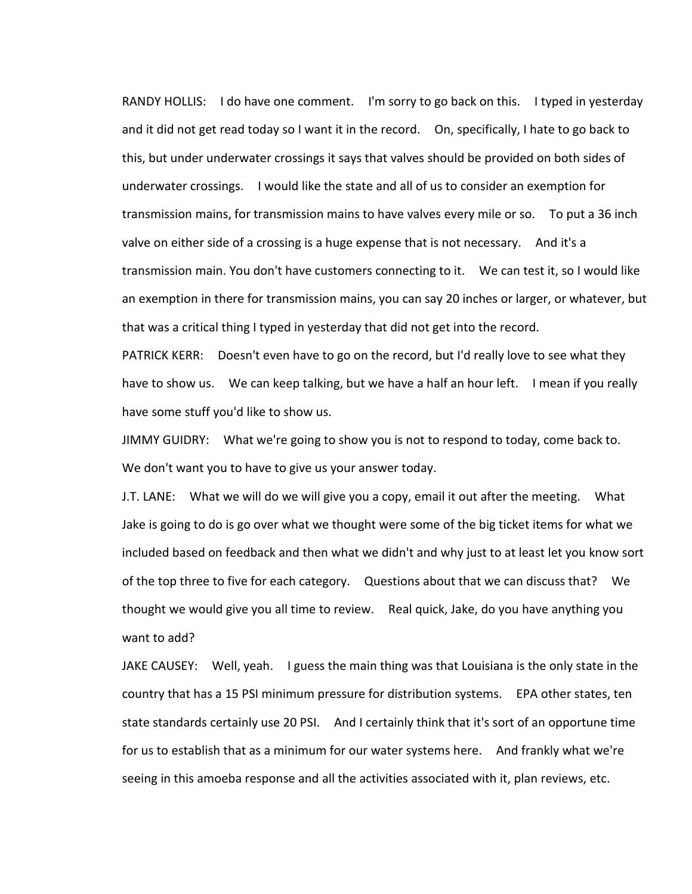RANDY HOLLIS: I do have one comment. I'm sorry to go back on this. I typed in yesterday and it did not get read today so I want it in the record. On, specifically, I hate to go back to this, but under underwater crossings it says that valves should be provided on both sides of underwater crossings. I would like the state and all of us to consider an exemption for transmission mains, for transmission mains to have valves every mile or so. To put a 36 inch valve on either side of a crossing is a huge expense that is not necessary. And it's a transmission main. You don't have customers connecting to it. We can test it, so I would like an exemption in there for transmission mains, you can say 20 inches or larger, or whatever, but that was a critical thing I typed in yesterday that did not get into the record.

PATRICK KERR: Doesn't even have to go on the record, but I'd really love to see what they have to show us. We can keep talking, but we have a half an hour left. I mean if you really have some stuff you'd like to show us.

JIMMY GUIDRY: What we're going to show you is not to respond to today, come back to. We don't want you to have to give us your answer today.

J.T. LANE: What we will do we will give you a copy, email it out after the meeting. What Jake is going to do is go over what we thought were some of the big ticket items for what we included based on feedback and then what we didn't and why just to at least let you know sort of the top three to five for each category. Questions about that we can discuss that? We thought we would give you all time to review. Real quick, Jake, do you have anything you want to add?

JAKE CAUSEY: Well, yeah. I guess the main thing was that Louisiana is the only state in the country that has a 15 PSI minimum pressure for distribution systems. EPA other states, ten state standards certainly use 20 PSI. And I certainly think that it's sort of an opportune time for us to establish that as a minimum for our water systems here. And frankly what we're seeing in this amoeba response and all the activities associated with it, plan reviews, etc.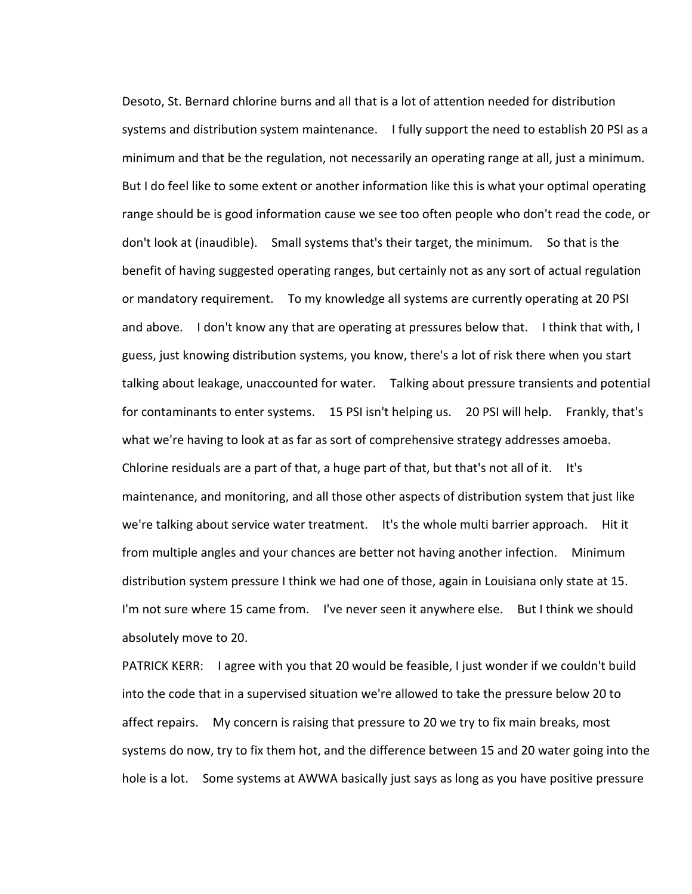Desoto, St. Bernard chlorine burns and all that is a lot of attention needed for distribution systems and distribution system maintenance. I fully support the need to establish 20 PSI as a minimum and that be the regulation, not necessarily an operating range at all, just a minimum. But I do feel like to some extent or another information like this is what your optimal operating range should be is good information cause we see too often people who don't read the code, or don't look at (inaudible). Small systems that's their target, the minimum. So that is the benefit of having suggested operating ranges, but certainly not as any sort of actual regulation or mandatory requirement. To my knowledge all systems are currently operating at 20 PSI and above. I don't know any that are operating at pressures below that. I think that with, I guess, just knowing distribution systems, you know, there's a lot of risk there when you start talking about leakage, unaccounted for water. Talking about pressure transients and potential for contaminants to enter systems. 15 PSI isn't helping us. 20 PSI will help. Frankly, that's what we're having to look at as far as sort of comprehensive strategy addresses amoeba. Chlorine residuals are a part of that, a huge part of that, but that's not all of it. It's maintenance, and monitoring, and all those other aspects of distribution system that just like we're talking about service water treatment. It's the whole multi barrier approach. Hit it from multiple angles and your chances are better not having another infection. Minimum distribution system pressure I think we had one of those, again in Louisiana only state at 15. I'm not sure where 15 came from. I've never seen it anywhere else. But I think we should absolutely move to 20.

PATRICK KERR: I agree with you that 20 would be feasible, I just wonder if we couldn't build into the code that in a supervised situation we're allowed to take the pressure below 20 to affect repairs. My concern is raising that pressure to 20 we try to fix main breaks, most systems do now, try to fix them hot, and the difference between 15 and 20 water going into the hole is a lot. Some systems at AWWA basically just says as long as you have positive pressure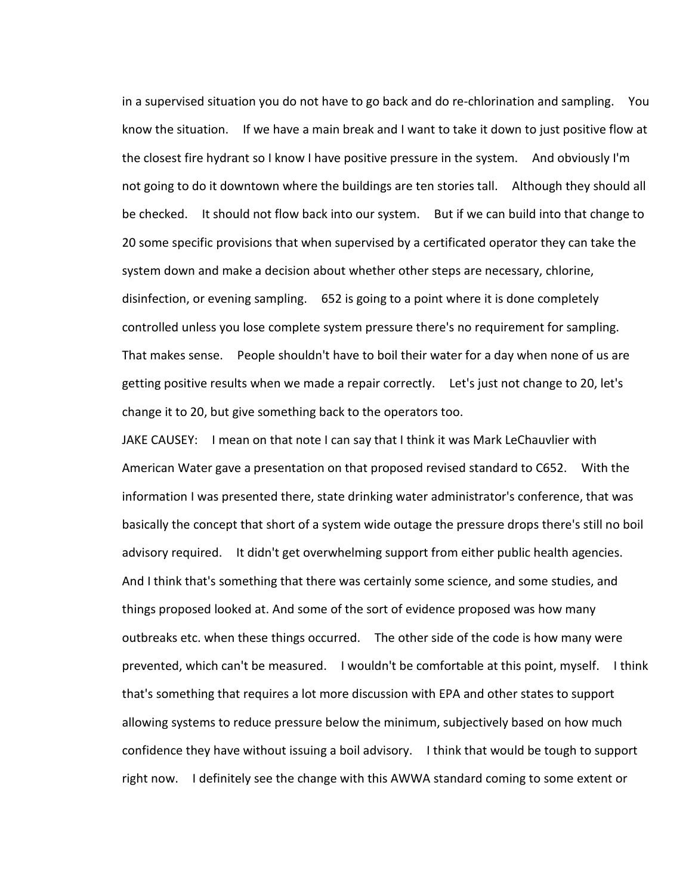in a supervised situation you do not have to go back and do re-chlorination and sampling. You know the situation. If we have a main break and I want to take it down to just positive flow at the closest fire hydrant so I know I have positive pressure in the system. And obviously I'm not going to do it downtown where the buildings are ten stories tall. Although they should all be checked. It should not flow back into our system. But if we can build into that change to 20 some specific provisions that when supervised by a certificated operator they can take the system down and make a decision about whether other steps are necessary, chlorine, disinfection, or evening sampling. 652 is going to a point where it is done completely controlled unless you lose complete system pressure there's no requirement for sampling. That makes sense. People shouldn't have to boil their water for a day when none of us are getting positive results when we made a repair correctly. Let's just not change to 20, let's change it to 20, but give something back to the operators too.

JAKE CAUSEY: I mean on that note I can say that I think it was Mark LeChauvlier with American Water gave a presentation on that proposed revised standard to C652. With the information I was presented there, state drinking water administrator's conference, that was basically the concept that short of a system wide outage the pressure drops there's still no boil advisory required. It didn't get overwhelming support from either public health agencies. And I think that's something that there was certainly some science, and some studies, and things proposed looked at. And some of the sort of evidence proposed was how many outbreaks etc. when these things occurred. The other side of the code is how many were prevented, which can't be measured. I wouldn't be comfortable at this point, myself. I think that's something that requires a lot more discussion with EPA and other states to support allowing systems to reduce pressure below the minimum, subjectively based on how much confidence they have without issuing a boil advisory. I think that would be tough to support right now. I definitely see the change with this AWWA standard coming to some extent or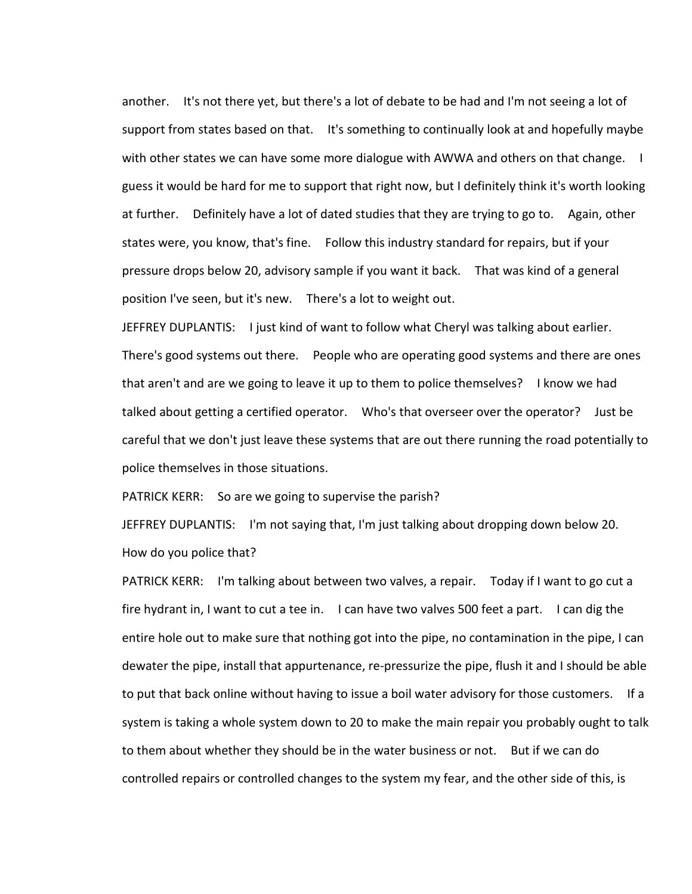another. It's not there yet, but there's a lot of debate to be had and I'm not seeing a lot of support from states based on that. It's something to continually look at and hopefully maybe with other states we can have some more dialogue with AWWA and others on that change. I guess it would be hard for me to support that right now, but I definitely think it's worth looking at further. Definitely have a lot of dated studies that they are trying to go to. Again, other states were, you know, that's fine. Follow this industry standard for repairs, but if your pressure drops below 20, advisory sample if you want it back. That was kind of a general position I've seen, but it's new. There's a lot to weight out.

JEFFREY DUPLANTIS: I just kind of want to follow what Cheryl was talking about earlier. There's good systems out there. People who are operating good systems and there are ones that aren't and are we going to leave it up to them to police themselves? I know we had talked about getting a certified operator. Who's that overseer over the operator? Just be careful that we don't just leave these systems that are out there running the road potentially to police themselves in those situations.

PATRICK KERR: So are we going to supervise the parish?

JEFFREY DUPLANTIS: I'm not saying that, I'm just talking about dropping down below 20. How do you police that?

PATRICK KERR: I'm talking about between two valves, a repair. Today if I want to go cut a fire hydrant in, I want to cut a tee in. I can have two valves 500 feet a part. I can dig the entire hole out to make sure that nothing got into the pipe, no contamination in the pipe, I can dewater the pipe, install that appurtenance, re-pressurize the pipe, flush it and I should be able to put that back online without having to issue a boil water advisory for those customers. If a system is taking a whole system down to 20 to make the main repair you probably ought to talk to them about whether they should be in the water business or not. But if we can do controlled repairs or controlled changes to the system my fear, and the other side of this, is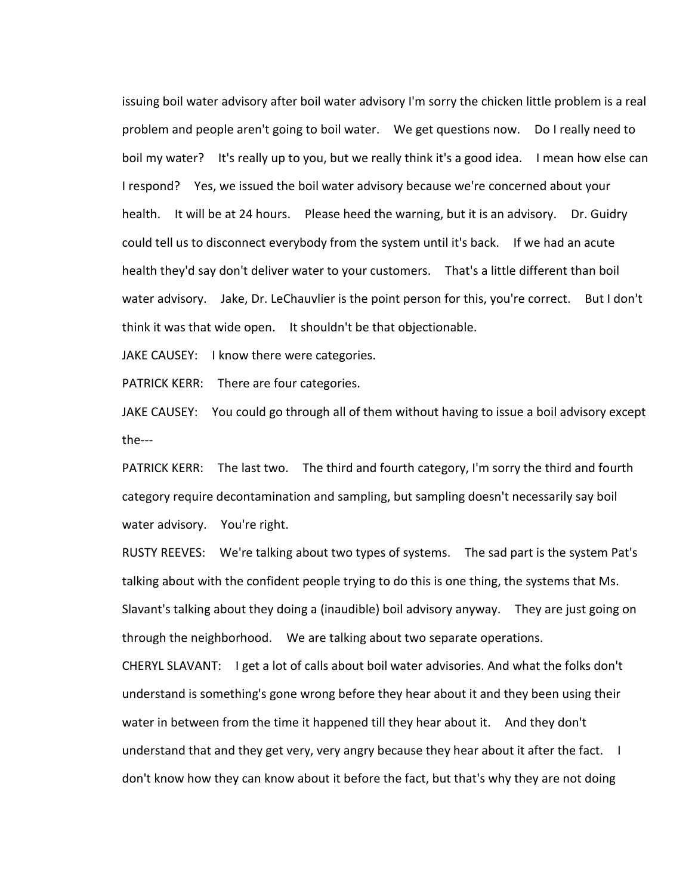issuing boil water advisory after boil water advisory I'm sorry the chicken little problem is a real problem and people aren't going to boil water. We get questions now. Do I really need to boil my water? It's really up to you, but we really think it's a good idea. I mean how else can I respond? Yes, we issued the boil water advisory because we're concerned about your health. It will be at 24 hours. Please heed the warning, but it is an advisory. Dr. Guidry could tell us to disconnect everybody from the system until it's back. If we had an acute health they'd say don't deliver water to your customers. That's a little different than boil water advisory. Jake, Dr. LeChauvlier is the point person for this, you're correct. But I don't think it was that wide open. It shouldn't be that objectionable.

JAKE CAUSEY: I know there were categories.

PATRICK KERR: There are four categories.

JAKE CAUSEY: You could go through all of them without having to issue a boil advisory except the---

PATRICK KERR: The last two. The third and fourth category, I'm sorry the third and fourth category require decontamination and sampling, but sampling doesn't necessarily say boil water advisory. You're right.

RUSTY REEVES: We're talking about two types of systems. The sad part is the system Pat's talking about with the confident people trying to do this is one thing, the systems that Ms. Slavant's talking about they doing a (inaudible) boil advisory anyway. They are just going on through the neighborhood. We are talking about two separate operations.

CHERYL SLAVANT: I get a lot of calls about boil water advisories. And what the folks don't understand is something's gone wrong before they hear about it and they been using their water in between from the time it happened till they hear about it. And they don't understand that and they get very, very angry because they hear about it after the fact. I don't know how they can know about it before the fact, but that's why they are not doing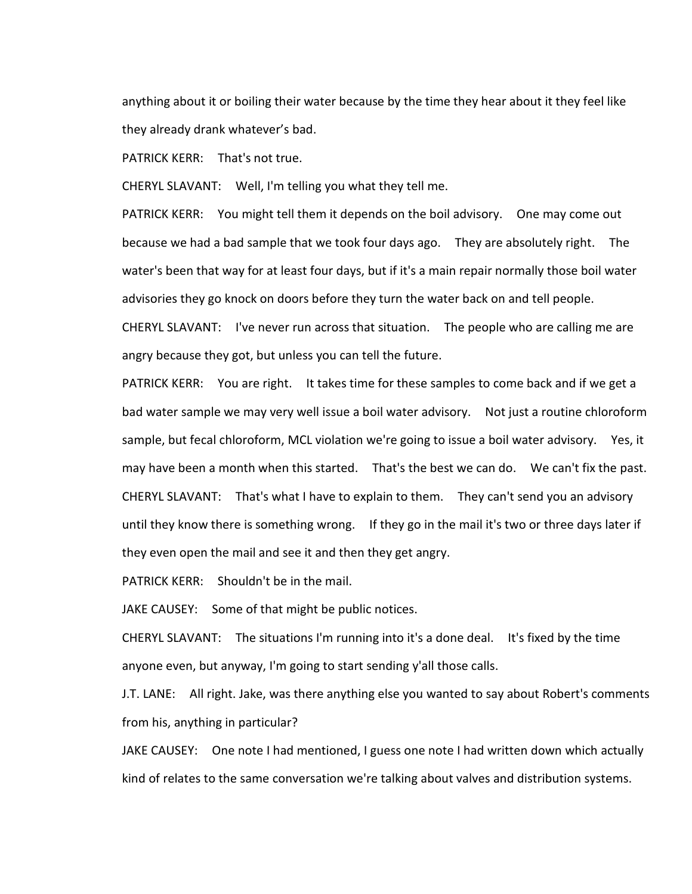anything about it or boiling their water because by the time they hear about it they feel like they already drank whatever's bad.

PATRICK KERR: That's not true.

CHERYL SLAVANT: Well, I'm telling you what they tell me.

PATRICK KERR: You might tell them it depends on the boil advisory. One may come out because we had a bad sample that we took four days ago. They are absolutely right. The water's been that way for at least four days, but if it's a main repair normally those boil water advisories they go knock on doors before they turn the water back on and tell people.

CHERYL SLAVANT: I've never run across that situation. The people who are calling me are angry because they got, but unless you can tell the future.

PATRICK KERR: You are right. It takes time for these samples to come back and if we get a bad water sample we may very well issue a boil water advisory. Not just a routine chloroform sample, but fecal chloroform, MCL violation we're going to issue a boil water advisory. Yes, it may have been a month when this started. That's the best we can do. We can't fix the past. CHERYL SLAVANT: That's what I have to explain to them. They can't send you an advisory until they know there is something wrong. If they go in the mail it's two or three days later if they even open the mail and see it and then they get angry.

PATRICK KERR: Shouldn't be in the mail.

JAKE CAUSEY: Some of that might be public notices.

CHERYL SLAVANT: The situations I'm running into it's a done deal. It's fixed by the time anyone even, but anyway, I'm going to start sending y'all those calls.

J.T. LANE: All right. Jake, was there anything else you wanted to say about Robert's comments from his, anything in particular?

JAKE CAUSEY: One note I had mentioned, I guess one note I had written down which actually kind of relates to the same conversation we're talking about valves and distribution systems.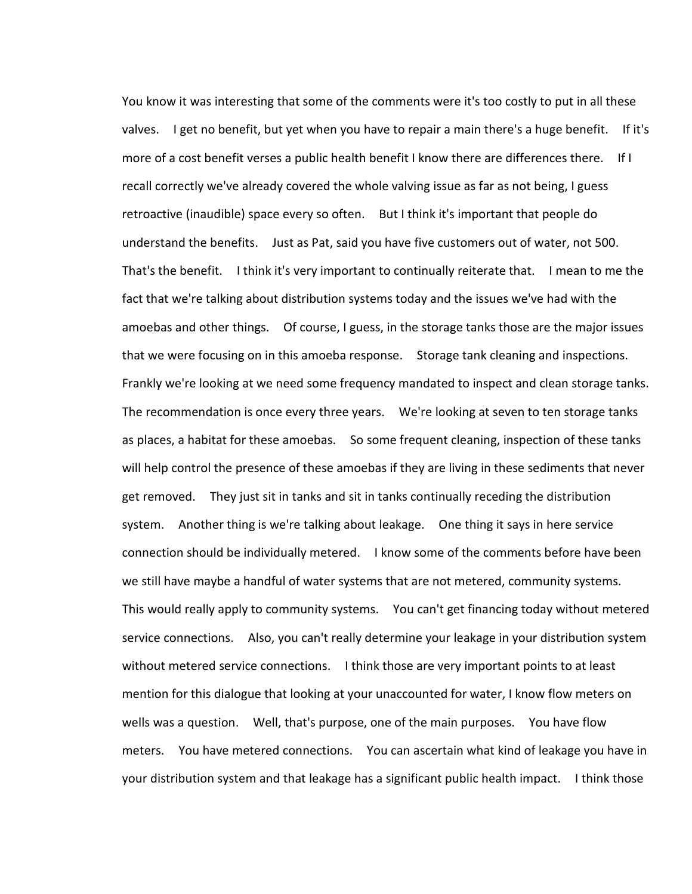You know it was interesting that some of the comments were it's too costly to put in all these valves. I get no benefit, but yet when you have to repair a main there's a huge benefit. If it's more of a cost benefit verses a public health benefit I know there are differences there. If I recall correctly we've already covered the whole valving issue as far as not being, I guess retroactive (inaudible) space every so often. But I think it's important that people do understand the benefits. Just as Pat, said you have five customers out of water, not 500. That's the benefit. I think it's very important to continually reiterate that. I mean to me the fact that we're talking about distribution systems today and the issues we've had with the amoebas and other things. Of course, I guess, in the storage tanks those are the major issues that we were focusing on in this amoeba response. Storage tank cleaning and inspections. Frankly we're looking at we need some frequency mandated to inspect and clean storage tanks. The recommendation is once every three years. We're looking at seven to ten storage tanks as places, a habitat for these amoebas. So some frequent cleaning, inspection of these tanks will help control the presence of these amoebas if they are living in these sediments that never get removed. They just sit in tanks and sit in tanks continually receding the distribution system. Another thing is we're talking about leakage. One thing it says in here service connection should be individually metered. I know some of the comments before have been we still have maybe a handful of water systems that are not metered, community systems. This would really apply to community systems. You can't get financing today without metered service connections. Also, you can't really determine your leakage in your distribution system without metered service connections. I think those are very important points to at least mention for this dialogue that looking at your unaccounted for water, I know flow meters on wells was a question. Well, that's purpose, one of the main purposes. You have flow meters. You have metered connections. You can ascertain what kind of leakage you have in your distribution system and that leakage has a significant public health impact. I think those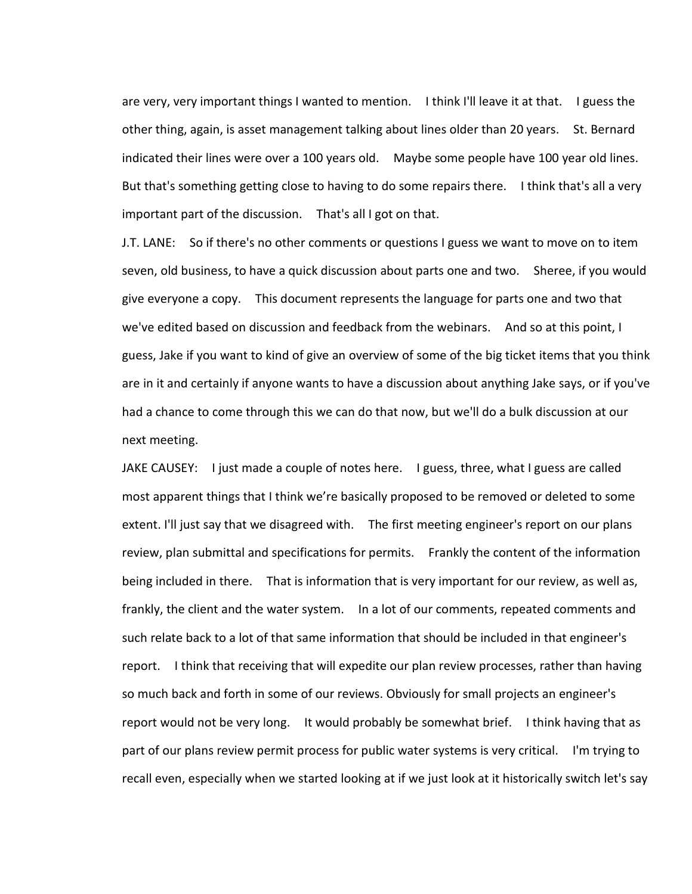are very, very important things I wanted to mention. I think I'll leave it at that. I guess the other thing, again, is asset management talking about lines older than 20 years. St. Bernard indicated their lines were over a 100 years old. Maybe some people have 100 year old lines. But that's something getting close to having to do some repairs there. I think that's all a very important part of the discussion. That's all I got on that.

J.T. LANE: So if there's no other comments or questions I guess we want to move on to item seven, old business, to have a quick discussion about parts one and two. Sheree, if you would give everyone a copy. This document represents the language for parts one and two that we've edited based on discussion and feedback from the webinars. And so at this point, I guess, Jake if you want to kind of give an overview of some of the big ticket items that you think are in it and certainly if anyone wants to have a discussion about anything Jake says, or if you've had a chance to come through this we can do that now, but we'll do a bulk discussion at our next meeting.

JAKE CAUSEY: I just made a couple of notes here. I guess, three, what I guess are called most apparent things that I think we're basically proposed to be removed or deleted to some extent. I'll just say that we disagreed with. The first meeting engineer's report on our plans review, plan submittal and specifications for permits. Frankly the content of the information being included in there. That is information that is very important for our review, as well as, frankly, the client and the water system. In a lot of our comments, repeated comments and such relate back to a lot of that same information that should be included in that engineer's report. I think that receiving that will expedite our plan review processes, rather than having so much back and forth in some of our reviews. Obviously for small projects an engineer's report would not be very long. It would probably be somewhat brief. I think having that as part of our plans review permit process for public water systems is very critical. I'm trying to recall even, especially when we started looking at if we just look at it historically switch let's say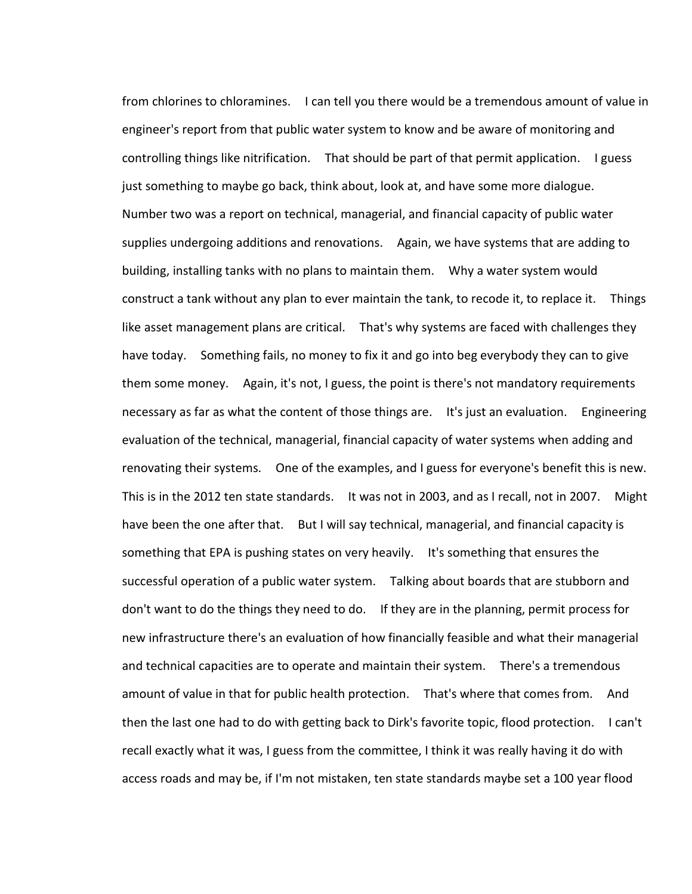from chlorines to chloramines. I can tell you there would be a tremendous amount of value in engineer's report from that public water system to know and be aware of monitoring and controlling things like nitrification. That should be part of that permit application. I guess just something to maybe go back, think about, look at, and have some more dialogue. Number two was a report on technical, managerial, and financial capacity of public water supplies undergoing additions and renovations. Again, we have systems that are adding to building, installing tanks with no plans to maintain them. Why a water system would construct a tank without any plan to ever maintain the tank, to recode it, to replace it. Things like asset management plans are critical. That's why systems are faced with challenges they have today. Something fails, no money to fix it and go into beg everybody they can to give them some money. Again, it's not, I guess, the point is there's not mandatory requirements necessary as far as what the content of those things are. It's just an evaluation. Engineering evaluation of the technical, managerial, financial capacity of water systems when adding and renovating their systems. One of the examples, and I guess for everyone's benefit this is new. This is in the 2012 ten state standards. It was not in 2003, and as I recall, not in 2007. Might have been the one after that. But I will say technical, managerial, and financial capacity is something that EPA is pushing states on very heavily. It's something that ensures the successful operation of a public water system. Talking about boards that are stubborn and don't want to do the things they need to do. If they are in the planning, permit process for new infrastructure there's an evaluation of how financially feasible and what their managerial and technical capacities are to operate and maintain their system. There's a tremendous amount of value in that for public health protection. That's where that comes from. And then the last one had to do with getting back to Dirk's favorite topic, flood protection. I can't recall exactly what it was, I guess from the committee, I think it was really having it do with access roads and may be, if I'm not mistaken, ten state standards maybe set a 100 year flood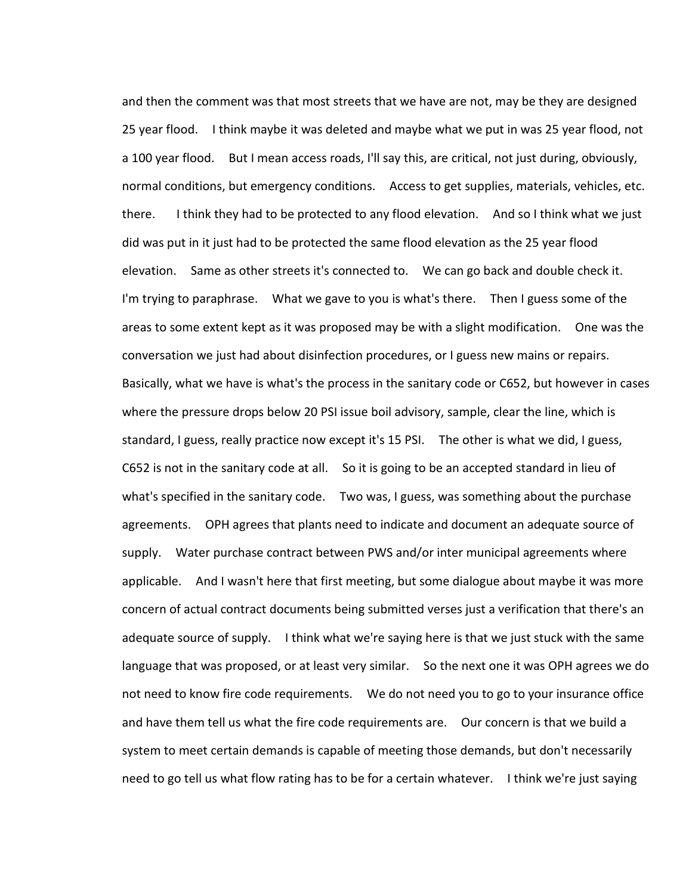and then the comment was that most streets that we have are not, may be they are designed 25 year flood. I think maybe it was deleted and maybe what we put in was 25 year flood, not a 100 year flood. But I mean access roads, I'll say this, are critical, not just during, obviously, normal conditions, but emergency conditions. Access to get supplies, materials, vehicles, etc. there. I think they had to be protected to any flood elevation. And so I think what we just did was put in it just had to be protected the same flood elevation as the 25 year flood elevation. Same as other streets it's connected to. We can go back and double check it. I'm trying to paraphrase. What we gave to you is what's there. Then I guess some of the areas to some extent kept as it was proposed may be with a slight modification. One was the conversation we just had about disinfection procedures, or I guess new mains or repairs. Basically, what we have is what's the process in the sanitary code or C652, but however in cases where the pressure drops below 20 PSI issue boil advisory, sample, clear the line, which is standard, I guess, really practice now except it's 15 PSI. The other is what we did, I guess, C652 is not in the sanitary code at all. So it is going to be an accepted standard in lieu of what's specified in the sanitary code. Two was, I guess, was something about the purchase agreements. OPH agrees that plants need to indicate and document an adequate source of supply. Water purchase contract between PWS and/or inter municipal agreements where applicable. And I wasn't here that first meeting, but some dialogue about maybe it was more concern of actual contract documents being submitted verses just a verification that there's an adequate source of supply. I think what we're saying here is that we just stuck with the same language that was proposed, or at least very similar. So the next one it was OPH agrees we do not need to know fire code requirements. We do not need you to go to your insurance office and have them tell us what the fire code requirements are. Our concern is that we build a system to meet certain demands is capable of meeting those demands, but don't necessarily need to go tell us what flow rating has to be for a certain whatever. I think we're just saying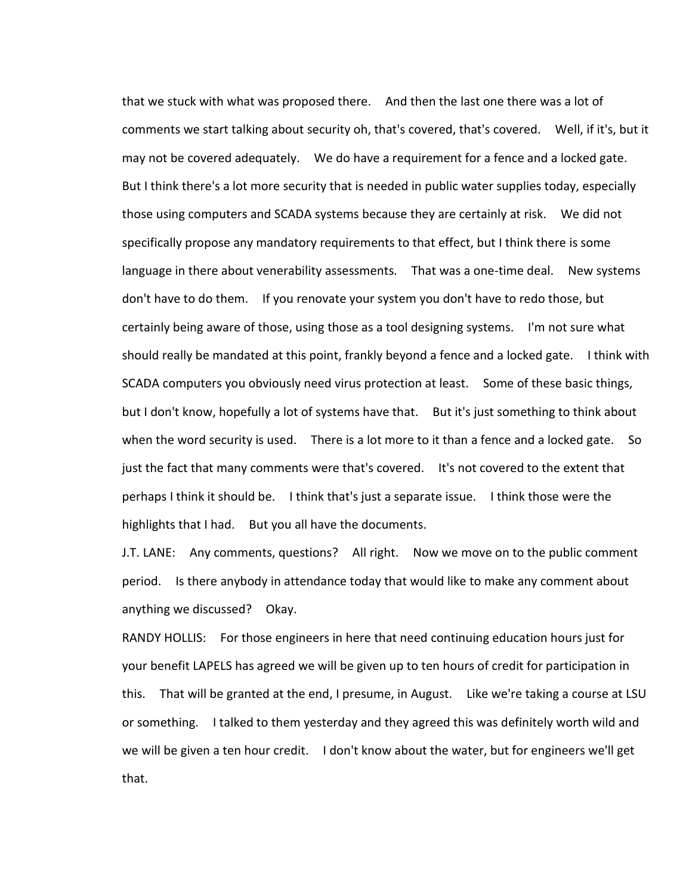that we stuck with what was proposed there. And then the last one there was a lot of comments we start talking about security oh, that's covered, that's covered. Well, if it's, but it may not be covered adequately. We do have a requirement for a fence and a locked gate. But I think there's a lot more security that is needed in public water supplies today, especially those using computers and SCADA systems because they are certainly at risk. We did not specifically propose any mandatory requirements to that effect, but I think there is some language in there about venerability assessments. That was a one-time deal. New systems don't have to do them. If you renovate your system you don't have to redo those, but certainly being aware of those, using those as a tool designing systems. I'm not sure what should really be mandated at this point, frankly beyond a fence and a locked gate. I think with SCADA computers you obviously need virus protection at least. Some of these basic things, but I don't know, hopefully a lot of systems have that. But it's just something to think about when the word security is used. There is a lot more to it than a fence and a locked gate. So just the fact that many comments were that's covered. It's not covered to the extent that perhaps I think it should be. I think that's just a separate issue. I think those were the highlights that I had. But you all have the documents.

J.T. LANE: Any comments, questions? All right. Now we move on to the public comment period. Is there anybody in attendance today that would like to make any comment about anything we discussed? Okay.

RANDY HOLLIS: For those engineers in here that need continuing education hours just for your benefit LAPELS has agreed we will be given up to ten hours of credit for participation in this. That will be granted at the end, I presume, in August. Like we're taking a course at LSU or something. I talked to them yesterday and they agreed this was definitely worth wild and we will be given a ten hour credit. I don't know about the water, but for engineers we'll get that.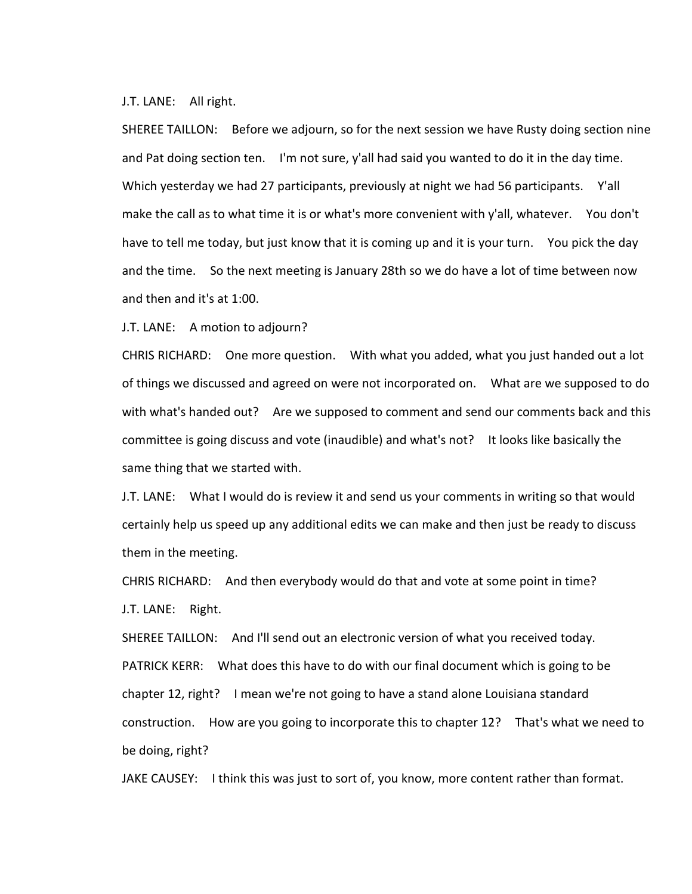## J.T. LANE: All right.

SHEREE TAILLON: Before we adjourn, so for the next session we have Rusty doing section nine and Pat doing section ten. I'm not sure, y'all had said you wanted to do it in the day time. Which yesterday we had 27 participants, previously at night we had 56 participants. Y'all make the call as to what time it is or what's more convenient with y'all, whatever. You don't have to tell me today, but just know that it is coming up and it is your turn. You pick the day and the time. So the next meeting is January 28th so we do have a lot of time between now and then and it's at 1:00.

J.T. LANE: A motion to adjourn?

CHRIS RICHARD: One more question. With what you added, what you just handed out a lot of things we discussed and agreed on were not incorporated on. What are we supposed to do with what's handed out? Are we supposed to comment and send our comments back and this committee is going discuss and vote (inaudible) and what's not? It looks like basically the same thing that we started with.

J.T. LANE: What I would do is review it and send us your comments in writing so that would certainly help us speed up any additional edits we can make and then just be ready to discuss them in the meeting.

CHRIS RICHARD: And then everybody would do that and vote at some point in time? J.T. LANE: Right.

SHEREE TAILLON: And I'll send out an electronic version of what you received today. PATRICK KERR: What does this have to do with our final document which is going to be chapter 12, right? I mean we're not going to have a stand alone Louisiana standard construction. How are you going to incorporate this to chapter 12? That's what we need to be doing, right?

JAKE CAUSEY: I think this was just to sort of, you know, more content rather than format.